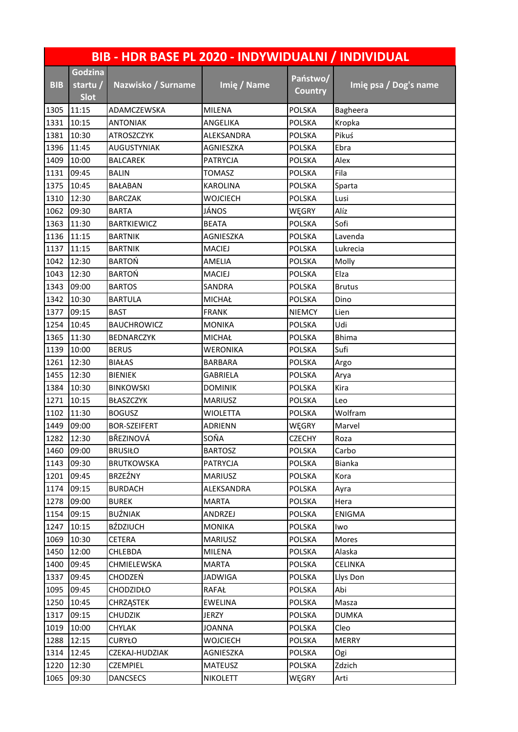|            | BIB - HDR BASE PL 2020 - INDYWIDUALNI / INDIVIDUAL |                     |                 |                            |                       |  |  |  |
|------------|----------------------------------------------------|---------------------|-----------------|----------------------------|-----------------------|--|--|--|
| <b>BIB</b> | <b>Godzina</b><br>startu /<br><b>Slot</b>          | Nazwisko / Surname  | Imię / Name     | Państwo/<br><b>Country</b> | Imię psa / Dog's name |  |  |  |
| 1305       | 11:15                                              | ADAMCZEWSKA         | <b>MILENA</b>   | POLSKA                     | Bagheera              |  |  |  |
| 1331       | 10:15                                              | <b>ANTONIAK</b>     | ANGELIKA        | <b>POLSKA</b>              | Kropka                |  |  |  |
| 1381       | 10:30                                              | ATROSZCZYK          | ALEKSANDRA      | <b>POLSKA</b>              | Pikuś                 |  |  |  |
| 1396       | 11:45                                              | <b>AUGUSTYNIAK</b>  | AGNIESZKA       | <b>POLSKA</b>              | Ebra                  |  |  |  |
| 1409       | 10:00                                              | <b>BALCAREK</b>     | PATRYCJA        | <b>POLSKA</b>              | Alex                  |  |  |  |
| 1131       | 09:45                                              | <b>BALIN</b>        | <b>TOMASZ</b>   | POLSKA                     | Fila                  |  |  |  |
| 1375       | 10:45                                              | <b>BAŁABAN</b>      | <b>KAROLINA</b> | <b>POLSKA</b>              | Sparta                |  |  |  |
| 1310       | 12:30                                              | <b>BARCZAK</b>      | WOJCIECH        | <b>POLSKA</b>              | Lusi                  |  |  |  |
| 1062       | 09:30                                              | <b>BARTA</b>        | JÁNOS           | WĘGRY                      | Alíz                  |  |  |  |
| 1363       | 11:30                                              | <b>BARTKIEWICZ</b>  | <b>BEATA</b>    | <b>POLSKA</b>              | Sofi                  |  |  |  |
| 1136       | 11:15                                              | <b>BARTNIK</b>      | AGNIESZKA       | <b>POLSKA</b>              | Lavenda               |  |  |  |
| 1137       | 11:15                                              | <b>BARTNIK</b>      | <b>MACIEJ</b>   | POLSKA                     | Lukrecia              |  |  |  |
| 1042       | 12:30                                              | <b>BARTOŃ</b>       | AMELIA          | <b>POLSKA</b>              | Molly                 |  |  |  |
| 1043       | 12:30                                              | <b>BARTOŃ</b>       | <b>MACIEJ</b>   | <b>POLSKA</b>              | Elza                  |  |  |  |
| 1343       | 09:00                                              | <b>BARTOS</b>       | SANDRA          | <b>POLSKA</b>              | <b>Brutus</b>         |  |  |  |
| 1342       | 10:30                                              | <b>BARTULA</b>      | <b>MICHAŁ</b>   | <b>POLSKA</b>              | Dino                  |  |  |  |
| 1377       | 09:15                                              | <b>BAST</b>         | <b>FRANK</b>    | <b>NIEMCY</b>              | Lien                  |  |  |  |
| 1254       | 10:45                                              | <b>BAUCHROWICZ</b>  | <b>MONIKA</b>   | <b>POLSKA</b>              | Udi                   |  |  |  |
| 1365       | 11:30                                              | <b>BEDNARCZYK</b>   | <b>MICHAŁ</b>   | <b>POLSKA</b>              | <b>Bhima</b>          |  |  |  |
| 1139       | 10:00                                              | <b>BERUS</b>        | <b>WERONIKA</b> | <b>POLSKA</b>              | Sufi                  |  |  |  |
| 1261       | 12:30                                              | <b>BIAŁAS</b>       | <b>BARBARA</b>  | <b>POLSKA</b>              | Argo                  |  |  |  |
| 1455       | 12:30                                              | <b>BIENIEK</b>      | GABRIELA        | <b>POLSKA</b>              | Arya                  |  |  |  |
| 1384       | 10:30                                              | <b>BINKOWSKI</b>    | <b>DOMINIK</b>  | <b>POLSKA</b>              | Kira                  |  |  |  |
| 1271       | 10:15                                              | BŁASZCZYK           | <b>MARIUSZ</b>  | <b>POLSKA</b>              | Leo                   |  |  |  |
| 1102       | 11:30                                              | <b>BOGUSZ</b>       | <b>WIOLETTA</b> | <b>POLSKA</b>              | Wolfram               |  |  |  |
| 1449       | 09:00                                              | <b>BOR-SZEIFERT</b> | ADRIENN         | WĘGRY                      | Marvel                |  |  |  |
| 1282       | 12:30                                              | BŘEZINOVÁ           | SOŇA            | <b>CZECHY</b>              | Roza                  |  |  |  |
| 1460       | 09:00                                              | <b>BRUSIŁO</b>      | <b>BARTOSZ</b>  | <b>POLSKA</b>              | Carbo                 |  |  |  |
| 1143       | 09:30                                              | <b>BRUTKOWSKA</b>   | <b>PATRYCJA</b> | POLSKA                     | Bianka                |  |  |  |
| 1201       | 09:45                                              | <b>BRZEŹNY</b>      | <b>MARIUSZ</b>  | <b>POLSKA</b>              | Kora                  |  |  |  |
| 1174       | 09:15                                              | <b>BURDACH</b>      | ALEKSANDRA      | <b>POLSKA</b>              | Ayra                  |  |  |  |
| 1278       | 09:00                                              | <b>BUREK</b>        | <b>MARTA</b>    | <b>POLSKA</b>              | Hera                  |  |  |  |
| 1154       | 09:15                                              | BUŹNIAK             | ANDRZEJ         | <b>POLSKA</b>              | <b>ENIGMA</b>         |  |  |  |
| 1247       | 10:15                                              | <b>BŹDZIUCH</b>     | <b>MONIKA</b>   | <b>POLSKA</b>              | Iwo                   |  |  |  |
| 1069       | 10:30                                              | CETERA              | <b>MARIUSZ</b>  | POLSKA                     | Mores                 |  |  |  |
| 1450       | 12:00                                              | CHLEBDA             | MILENA          | <b>POLSKA</b>              | Alaska                |  |  |  |
| 1400       | 09:45                                              | CHMIELEWSKA         | <b>MARTA</b>    | <b>POLSKA</b>              | <b>CELINKA</b>        |  |  |  |
| 1337       | 09:45                                              | <b>CHODZEŃ</b>      | <b>JADWIGA</b>  | <b>POLSKA</b>              | Llys Don              |  |  |  |
| 1095       | 09:45                                              | CHODZIDŁO           | <b>RAFAŁ</b>    | <b>POLSKA</b>              | Abi                   |  |  |  |
| 1250       | 10:45                                              | <b>CHRZĄSTEK</b>    | <b>EWELINA</b>  | <b>POLSKA</b>              | Masza                 |  |  |  |
| 1317       | 09:15                                              | <b>CHUDZIK</b>      | JERZY           | <b>POLSKA</b>              | <b>DUMKA</b>          |  |  |  |
| 1019       | 10:00                                              | CHYLAK              | <b>JOANNA</b>   | <b>POLSKA</b>              | Cleo                  |  |  |  |
| 1288       | 12:15                                              | <b>CURYŁO</b>       | <b>WOJCIECH</b> | <b>POLSKA</b>              | <b>MERRY</b>          |  |  |  |
| 1314       | 12:45                                              | CZEKAJ-HUDZIAK      | AGNIESZKA       | <b>POLSKA</b>              | Ogi                   |  |  |  |
| 1220       | 12:30                                              | CZEMPIEL            | <b>MATEUSZ</b>  | <b>POLSKA</b>              | Zdzich                |  |  |  |
| 1065       | 09:30                                              | <b>DANCSECS</b>     | <b>NIKOLETT</b> | WĘGRY                      | Arti                  |  |  |  |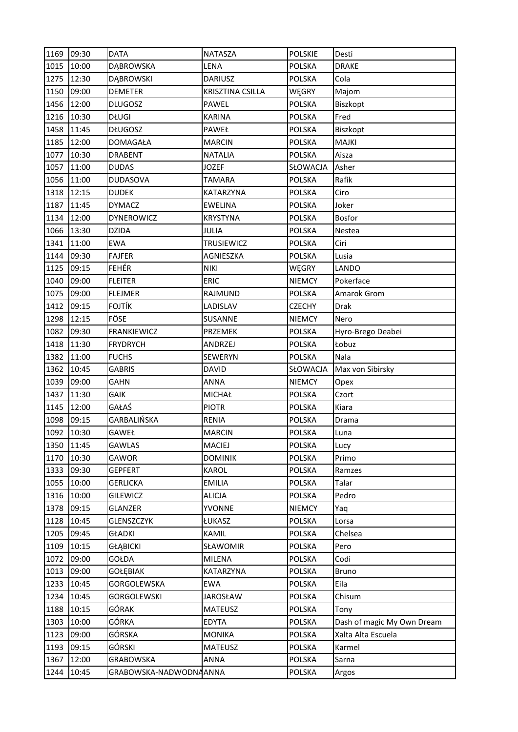| 1169 | 09:30 | <b>DATA</b>        | <b>NATASZA</b>          | <b>POLSKIE</b> | Desti                      |
|------|-------|--------------------|-------------------------|----------------|----------------------------|
| 1015 | 10:00 | <b>DĄBROWSKA</b>   | LENA                    | <b>POLSKA</b>  | <b>DRAKE</b>               |
| 1275 | 12:30 | <b>DĄBROWSKI</b>   | <b>DARIUSZ</b>          | <b>POLSKA</b>  | Cola                       |
| 1150 | 09:00 | <b>DEMETER</b>     | <b>KRISZTINA CSILLA</b> | WĘGRY          | Majom                      |
| 1456 | 12:00 | <b>DLUGOSZ</b>     | PAWEL                   | <b>POLSKA</b>  | Biszkopt                   |
| 1216 | 10:30 | <b>DŁUGI</b>       | <b>KARINA</b>           | <b>POLSKA</b>  | Fred                       |
| 1458 | 11:45 | <b>DŁUGOSZ</b>     | PAWEŁ                   | POLSKA         | Biszkopt                   |
| 1185 | 12:00 | <b>DOMAGAŁA</b>    | <b>MARCIN</b>           | <b>POLSKA</b>  | <b>MAJKI</b>               |
| 1077 | 10:30 | <b>DRABENT</b>     | <b>NATALIA</b>          | <b>POLSKA</b>  | Aisza                      |
| 1057 | 11:00 | <b>DUDAS</b>       | <b>JOZEF</b>            | SŁOWACJA       | Asher                      |
| 1056 | 11:00 | <b>DUDASOVA</b>    | <b>TAMARA</b>           | <b>POLSKA</b>  | Rafik                      |
| 1318 | 12:15 | <b>DUDEK</b>       | <b>KATARZYNA</b>        | <b>POLSKA</b>  | Ciro                       |
| 1187 | 11:45 | <b>DYMACZ</b>      | <b>EWELINA</b>          | <b>POLSKA</b>  | Joker                      |
| 1134 | 12:00 | <b>DYNEROWICZ</b>  | <b>KRYSTYNA</b>         | <b>POLSKA</b>  | <b>Bosfor</b>              |
| 1066 | 13:30 | <b>DZIDA</b>       | JULIA                   | <b>POLSKA</b>  | Nestea                     |
| 1341 | 11:00 | <b>EWA</b>         | <b>TRUSIEWICZ</b>       | <b>POLSKA</b>  | Ciri                       |
| 1144 | 09:30 | <b>FAJFER</b>      | AGNIESZKA               | <b>POLSKA</b>  | Lusia                      |
| 1125 | 09:15 | <b>FEHÉR</b>       | <b>NIKI</b>             | WĘGRY          | LANDO                      |
| 1040 | 09:00 | <b>FLEITER</b>     | <b>ERIC</b>             | <b>NIEMCY</b>  | Pokerface                  |
| 1075 | 09:00 | <b>FLEJMER</b>     | RAJMUND                 | <b>POLSKA</b>  | Amarok Grom                |
| 1412 | 09:15 | <b>FOJTÍK</b>      | LADISLAV                | <b>CZECHY</b>  | <b>Drak</b>                |
| 1298 | 12:15 | FÖSE               | SUSANNE                 | <b>NIEMCY</b>  | Nero                       |
| 1082 | 09:30 | <b>FRANKIEWICZ</b> | PRZEMEK                 | <b>POLSKA</b>  | Hyro-Brego Deabei          |
| 1418 | 11:30 | <b>FRYDRYCH</b>    | ANDRZEJ                 | <b>POLSKA</b>  | Łobuz                      |
| 1382 | 11:00 | <b>FUCHS</b>       | <b>SEWERYN</b>          | <b>POLSKA</b>  | Nala                       |
| 1362 | 10:45 | <b>GABRIS</b>      | <b>DAVID</b>            | SŁOWACJA       | Max von Sibirsky           |
| 1039 | 09:00 | GAHN               | ANNA                    | <b>NIEMCY</b>  | Opex                       |
| 1437 |       |                    |                         |                |                            |
|      | 11:30 | <b>GAIK</b>        | <b>MICHAŁ</b>           | <b>POLSKA</b>  | Czort                      |
| 1145 | 12:00 | GAŁAŚ              | <b>PIOTR</b>            | <b>POLSKA</b>  | Kiara                      |
| 1098 | 09:15 | GARBALIŃSKA        | <b>RENIA</b>            | <b>POLSKA</b>  | Drama                      |
| 1092 | 10:30 | GAWEŁ              | <b>MARCIN</b>           | <b>POLSKA</b>  | Luna                       |
| 1350 | 11:45 | <b>GAWLAS</b>      | MACIEJ                  | <b>POLSKA</b>  | Lucy                       |
| 1170 | 10:30 | GAWOR              | <b>DOMINIK</b>          | POLSKA         | Primo                      |
| 1333 | 09:30 | <b>GEPFERT</b>     | KAROL                   | <b>POLSKA</b>  | Ramzes                     |
| 1055 | 10:00 | <b>GERLICKA</b>    | <b>EMILIA</b>           | <b>POLSKA</b>  | Talar                      |
| 1316 | 10:00 | <b>GILEWICZ</b>    | <b>ALICJA</b>           | <b>POLSKA</b>  | Pedro                      |
| 1378 | 09:15 | GLANZER            | <b>YVONNE</b>           | <b>NIEMCY</b>  | Yaq                        |
| 1128 | 10:45 | GLENSZCZYK         | ŁUKASZ                  | <b>POLSKA</b>  | Lorsa                      |
| 1205 | 09:45 | <b>GŁADKI</b>      | KAMIL                   | <b>POLSKA</b>  | Chelsea                    |
| 1109 | 10:15 | <b>GŁĄBICKI</b>    | SŁAWOMIR                | POLSKA         | Pero                       |
| 1072 | 09:00 | GOŁDA              | MILENA                  | <b>POLSKA</b>  | Codi                       |
| 1013 | 09:00 | GOŁĘBIAK           | KATARZYNA               | <b>POLSKA</b>  | <b>Bruno</b>               |
| 1233 | 10:45 | GORGOLEWSKA        | <b>EWA</b>              | <b>POLSKA</b>  | Eila                       |
| 1234 | 10:45 | <b>GORGOLEWSKI</b> | <b>JAROSŁAW</b>         | <b>POLSKA</b>  | Chisum                     |
| 1188 | 10:15 | GÓRAK              | MATEUSZ                 | <b>POLSKA</b>  | Tony                       |
| 1303 | 10:00 | GÓRKA              | <b>EDYTA</b>            | <b>POLSKA</b>  | Dash of magic My Own Dream |
| 1123 | 09:00 | GÓRSKA             | <b>MONIKA</b>           | <b>POLSKA</b>  | Xalta Alta Escuela         |
| 1193 | 09:15 | GÓRSKI             | <b>MATEUSZ</b>          | <b>POLSKA</b>  | Karmel                     |
| 1367 | 12:00 | <b>GRABOWSKA</b>   | ANNA                    | <b>POLSKA</b>  | Sarna                      |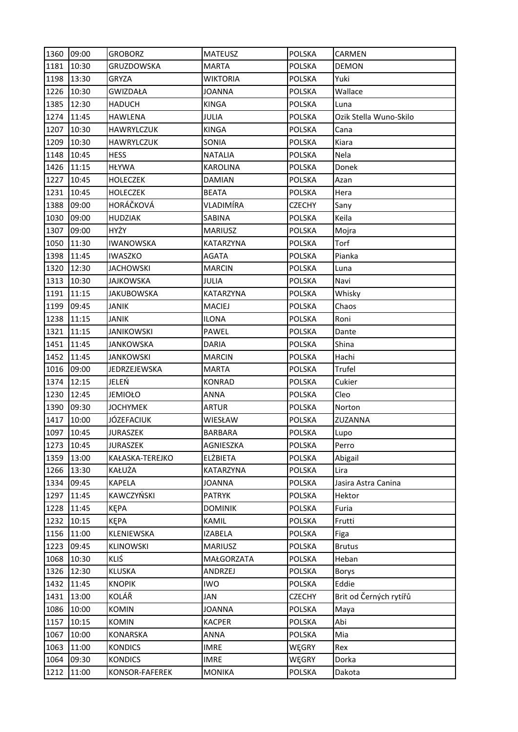| 1360 | 09:00 | <b>GROBORZ</b>    | <b>MATEUSZ</b>  | <b>POLSKA</b> | CARMEN                 |
|------|-------|-------------------|-----------------|---------------|------------------------|
| 1181 | 10:30 | GRUZDOWSKA        | <b>MARTA</b>    | <b>POLSKA</b> | <b>DEMON</b>           |
| 1198 | 13:30 | GRYZA             | <b>WIKTORIA</b> | <b>POLSKA</b> | Yuki                   |
| 1226 | 10:30 | <b>GWIZDAŁA</b>   | <b>JOANNA</b>   | <b>POLSKA</b> | Wallace                |
| 1385 | 12:30 | <b>HADUCH</b>     | <b>KINGA</b>    | <b>POLSKA</b> | Luna                   |
| 1274 | 11:45 | <b>HAWLENA</b>    | JULIA           | <b>POLSKA</b> | Ozik Stella Wuno-Skilo |
| 1207 | 10:30 | <b>HAWRYLCZUK</b> | <b>KINGA</b>    | <b>POLSKA</b> | Cana                   |
| 1209 | 10:30 | HAWRYLCZUK        | SONIA           | <b>POLSKA</b> | Kiara                  |
| 1148 | 10:45 | <b>HESS</b>       | <b>NATALIA</b>  | <b>POLSKA</b> | Nela                   |
| 1426 | 11:15 | <b>HŁYWA</b>      | <b>KAROLINA</b> | <b>POLSKA</b> | Donek                  |
| 1227 | 10:45 | <b>HOLECZEK</b>   | <b>DAMIAN</b>   | <b>POLSKA</b> | Azan                   |
| 1231 | 10:45 | HOLECZEK          | <b>BEATA</b>    | <b>POLSKA</b> | Hera                   |
| 1388 | 09:00 | HORÁČKOVÁ         | VLADIMÍRA       | <b>CZECHY</b> | Sany                   |
| 1030 | 09:00 | <b>HUDZIAK</b>    | SABINA          | <b>POLSKA</b> | Keila                  |
| 1307 | 09:00 | HYŻY              | <b>MARIUSZ</b>  | <b>POLSKA</b> | Mojra                  |
| 1050 | 11:30 | <b>IWANOWSKA</b>  | KATARZYNA       | <b>POLSKA</b> | Torf                   |
| 1398 | 11:45 | IWASZKO           | <b>AGATA</b>    | <b>POLSKA</b> | Pianka                 |
| 1320 | 12:30 | <b>JACHOWSKI</b>  | <b>MARCIN</b>   | <b>POLSKA</b> | Luna                   |
| 1313 | 10:30 | JAJKOWSKA         | <b>JULIA</b>    | <b>POLSKA</b> | Navi                   |
| 1191 | 11:15 | <b>JAKUBOWSKA</b> | KATARZYNA       | <b>POLSKA</b> | Whisky                 |
| 1199 | 09:45 | JANIK             | <b>MACIEJ</b>   | <b>POLSKA</b> | Chaos                  |
| 1238 | 11:15 | JANIK             | <b>ILONA</b>    | <b>POLSKA</b> | Roni                   |
| 1321 | 11:15 | <b>JANIKOWSKI</b> | PAWEL           | <b>POLSKA</b> | Dante                  |
| 1451 | 11:45 | JANKOWSKA         | <b>DARIA</b>    | <b>POLSKA</b> | Shina                  |
| 1452 | 11:45 | JANKOWSKI         | <b>MARCIN</b>   | <b>POLSKA</b> | Hachi                  |
| 1016 | 09:00 | JEDRZEJEWSKA      | <b>MARTA</b>    | <b>POLSKA</b> | Trufel                 |
| 1374 | 12:15 | JELEŃ             | <b>KONRAD</b>   | <b>POLSKA</b> | Cukier                 |
| 1230 | 12:45 | <b>JEMIOŁO</b>    | ANNA            | <b>POLSKA</b> | Cleo                   |
| 1390 | 09:30 | <b>JOCHYMEK</b>   | ARTUR           | <b>POLSKA</b> | Norton                 |
| 1417 | 10:00 | JÓZEFACIUK        | WIESŁAW         | <b>POLSKA</b> | ZUZANNA                |
| 1097 | 10:45 | <b>JURASZEK</b>   | <b>BARBARA</b>  | <b>POLSKA</b> | Lupo                   |
| 1273 | 10:45 | <b>JURASZEK</b>   | AGNIESZKA       | POLSKA        | Perro                  |
| 1359 | 13:00 | KAŁASKA-TEREJKO   | <b>ELŻBIETA</b> | <b>POLSKA</b> | Abigail                |
| 1266 | 13:30 | KAŁUŻA            | KATARZYNA       | <b>POLSKA</b> | Lira                   |
| 1334 | 09:45 | <b>KAPELA</b>     | <b>JOANNA</b>   | <b>POLSKA</b> | Jasira Astra Canina    |
| 1297 | 11:45 | KAWCZYŃSKI        | <b>PATRYK</b>   | <b>POLSKA</b> | Hektor                 |
| 1228 | 11:45 | KĘPA              | <b>DOMINIK</b>  | <b>POLSKA</b> | Furia                  |
| 1232 | 10:15 | <b>KEPA</b>       | KAMIL           | <b>POLSKA</b> | Frutti                 |
| 1156 | 11:00 | KLENIEWSKA        | <b>IZABELA</b>  | <b>POLSKA</b> | Figa                   |
| 1223 | 09:45 | <b>KLINOWSKI</b>  | <b>MARIUSZ</b>  | <b>POLSKA</b> | <b>Brutus</b>          |
| 1068 | 10:30 | KLIŚ              | MAŁGORZATA      | <b>POLSKA</b> | Heban                  |
| 1326 | 12:30 | <b>KLUSKA</b>     | ANDRZEJ         | <b>POLSKA</b> | Borys                  |
| 1432 | 11:45 | <b>KNOPIK</b>     | <b>IWO</b>      | <b>POLSKA</b> | Eddie                  |
| 1431 | 13:00 | KOLÁŘ             | JAN             | <b>CZECHY</b> | Brit od Černých rytířů |
| 1086 | 10:00 | <b>KOMIN</b>      | <b>JOANNA</b>   | <b>POLSKA</b> | Maya                   |
| 1157 | 10:15 | <b>KOMIN</b>      | <b>KACPER</b>   | <b>POLSKA</b> | Abi                    |
| 1067 | 10:00 | KONARSKA          | <b>ANNA</b>     | <b>POLSKA</b> | Mia                    |
| 1063 | 11:00 | <b>KONDICS</b>    | <b>IMRE</b>     | WĘGRY         | Rex                    |
| 1064 | 09:30 | <b>KONDICS</b>    | <b>IMRE</b>     | WĘGRY         | Dorka                  |
| 1212 | 11:00 | KONSOR-FAFEREK    | <b>MONIKA</b>   | <b>POLSKA</b> | Dakota                 |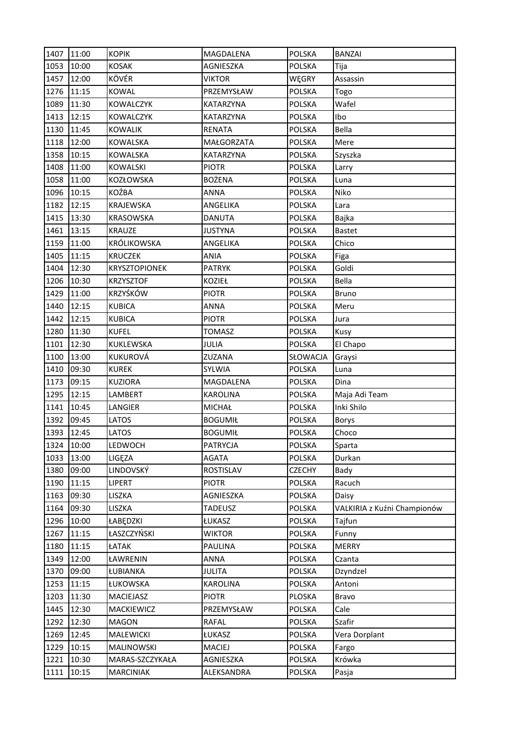| <b>POLSKA</b><br>1053<br>10:00<br><b>KOSAK</b><br>AGNIESZKA<br>Tija<br>KÖVÉR<br>12:00<br>1457<br><b>VIKTOR</b><br>WĘGRY<br>Assassin<br>11:15<br><b>KOWAL</b><br><b>POLSKA</b><br>1276<br>PRZEMYSŁAW<br>Togo<br>11:30<br>Wafel<br>1089<br><b>KOWALCZYK</b><br><b>POLSKA</b><br>KATARZYNA<br>12:15<br>Ibo<br>1413<br><b>KOWALCZYK</b><br>KATARZYNA<br><b>POLSKA</b><br>11:45<br>Bella<br>1130<br>RENATA<br><b>POLSKA</b><br><b>KOWALIK</b><br>1118<br>12:00<br><b>KOWALSKA</b><br>MAŁGORZATA<br><b>POLSKA</b><br>Mere<br>10:15<br>1358<br>KOWALSKA<br>KATARZYNA<br><b>POLSKA</b><br>Szyszka<br>11:00<br>1408<br><b>KOWALSKI</b><br><b>PIOTR</b><br><b>POLSKA</b><br>Larry<br>1058<br>11:00<br>KOZŁOWSKA<br><b>BOŻENA</b><br><b>POLSKA</b><br>Luna<br>10:15<br>KOŹBA<br>1096<br><b>ANNA</b><br><b>POLSKA</b><br>Niko |
|-------------------------------------------------------------------------------------------------------------------------------------------------------------------------------------------------------------------------------------------------------------------------------------------------------------------------------------------------------------------------------------------------------------------------------------------------------------------------------------------------------------------------------------------------------------------------------------------------------------------------------------------------------------------------------------------------------------------------------------------------------------------------------------------------------------------|
|                                                                                                                                                                                                                                                                                                                                                                                                                                                                                                                                                                                                                                                                                                                                                                                                                   |
|                                                                                                                                                                                                                                                                                                                                                                                                                                                                                                                                                                                                                                                                                                                                                                                                                   |
|                                                                                                                                                                                                                                                                                                                                                                                                                                                                                                                                                                                                                                                                                                                                                                                                                   |
|                                                                                                                                                                                                                                                                                                                                                                                                                                                                                                                                                                                                                                                                                                                                                                                                                   |
|                                                                                                                                                                                                                                                                                                                                                                                                                                                                                                                                                                                                                                                                                                                                                                                                                   |
|                                                                                                                                                                                                                                                                                                                                                                                                                                                                                                                                                                                                                                                                                                                                                                                                                   |
|                                                                                                                                                                                                                                                                                                                                                                                                                                                                                                                                                                                                                                                                                                                                                                                                                   |
|                                                                                                                                                                                                                                                                                                                                                                                                                                                                                                                                                                                                                                                                                                                                                                                                                   |
|                                                                                                                                                                                                                                                                                                                                                                                                                                                                                                                                                                                                                                                                                                                                                                                                                   |
|                                                                                                                                                                                                                                                                                                                                                                                                                                                                                                                                                                                                                                                                                                                                                                                                                   |
|                                                                                                                                                                                                                                                                                                                                                                                                                                                                                                                                                                                                                                                                                                                                                                                                                   |
| 1182<br>12:15<br>KRAJEWSKA<br>ANGELIKA<br><b>POLSKA</b><br>Lara                                                                                                                                                                                                                                                                                                                                                                                                                                                                                                                                                                                                                                                                                                                                                   |
| 1415<br>13:30<br><b>POLSKA</b><br><b>KRASOWSKA</b><br><b>DANUTA</b><br>Bajka                                                                                                                                                                                                                                                                                                                                                                                                                                                                                                                                                                                                                                                                                                                                      |
| 1461<br>13:15<br><b>KRAUZE</b><br><b>JUSTYNA</b><br><b>POLSKA</b><br><b>Bastet</b>                                                                                                                                                                                                                                                                                                                                                                                                                                                                                                                                                                                                                                                                                                                                |
| <b>KRÓLIKOWSKA</b><br>1159<br>11:00<br>ANGELIKA<br><b>POLSKA</b><br>Chico                                                                                                                                                                                                                                                                                                                                                                                                                                                                                                                                                                                                                                                                                                                                         |
| 1405<br>11:15<br>POLSKA<br><b>KRUCZEK</b><br>ANIA<br>Figa                                                                                                                                                                                                                                                                                                                                                                                                                                                                                                                                                                                                                                                                                                                                                         |
| 12:30<br>Goldi<br>1404<br><b>KRYSZTOPIONEK</b><br><b>PATRYK</b><br><b>POLSKA</b>                                                                                                                                                                                                                                                                                                                                                                                                                                                                                                                                                                                                                                                                                                                                  |
| 10:30<br>Bella<br>1206<br><b>KRZYSZTOF</b><br>KOZIEŁ<br><b>POLSKA</b>                                                                                                                                                                                                                                                                                                                                                                                                                                                                                                                                                                                                                                                                                                                                             |
| KRZYŚKÓW<br>1429<br>11:00<br><b>PIOTR</b><br><b>POLSKA</b><br><b>Bruno</b>                                                                                                                                                                                                                                                                                                                                                                                                                                                                                                                                                                                                                                                                                                                                        |
| 12:15<br>1440<br><b>KUBICA</b><br><b>ANNA</b><br><b>POLSKA</b><br>Meru                                                                                                                                                                                                                                                                                                                                                                                                                                                                                                                                                                                                                                                                                                                                            |
| 1442<br>12:15<br><b>KUBICA</b><br><b>PIOTR</b><br><b>POLSKA</b><br>Jura                                                                                                                                                                                                                                                                                                                                                                                                                                                                                                                                                                                                                                                                                                                                           |
| <b>KUFEL</b><br>1280<br>11:30<br><b>TOMASZ</b><br><b>POLSKA</b><br>Kusy                                                                                                                                                                                                                                                                                                                                                                                                                                                                                                                                                                                                                                                                                                                                           |
| 12:30<br>1101<br>KUKLEWSKA<br><b>POLSKA</b><br>JULIA<br>El Chapo                                                                                                                                                                                                                                                                                                                                                                                                                                                                                                                                                                                                                                                                                                                                                  |
| 13:00<br>KUKUROVÁ<br>1100<br>ZUZANA<br>SŁOWACJA<br>Graysi                                                                                                                                                                                                                                                                                                                                                                                                                                                                                                                                                                                                                                                                                                                                                         |
| 09:30<br>1410<br><b>KUREK</b><br>SYLWIA<br><b>POLSKA</b><br>Luna                                                                                                                                                                                                                                                                                                                                                                                                                                                                                                                                                                                                                                                                                                                                                  |
| 09:15<br>1173<br><b>KUZIORA</b><br>MAGDALENA<br><b>POLSKA</b><br><b>Dina</b>                                                                                                                                                                                                                                                                                                                                                                                                                                                                                                                                                                                                                                                                                                                                      |
| 12:15<br>1295<br>LAMBERT<br><b>KAROLINA</b><br><b>POLSKA</b><br>Maja Adi Team                                                                                                                                                                                                                                                                                                                                                                                                                                                                                                                                                                                                                                                                                                                                     |
| 10:45<br>Inki Shilo<br>1141<br>LANGIER<br>MICHAŁ<br><b>POLSKA</b>                                                                                                                                                                                                                                                                                                                                                                                                                                                                                                                                                                                                                                                                                                                                                 |
| 09:45<br>1392<br>LATOS<br><b>BOGUMIŁ</b><br><b>POLSKA</b><br><b>Borys</b>                                                                                                                                                                                                                                                                                                                                                                                                                                                                                                                                                                                                                                                                                                                                         |
| 1393<br>12:45<br>Choco<br>LATOS<br><b>POLSKA</b><br><b>BOGUMIŁ</b>                                                                                                                                                                                                                                                                                                                                                                                                                                                                                                                                                                                                                                                                                                                                                |
| POLSKA<br>1324<br>10:00<br>LEDWOCH<br><b>PATRYCJA</b><br>Sparta                                                                                                                                                                                                                                                                                                                                                                                                                                                                                                                                                                                                                                                                                                                                                   |
| 13:00<br>LIGEZA<br><b>POLSKA</b><br>1033<br><b>AGATA</b><br>Durkan                                                                                                                                                                                                                                                                                                                                                                                                                                                                                                                                                                                                                                                                                                                                                |
| LINDOVSKÝ<br>09:00<br>1380<br>ROSTISLAV<br><b>CZECHY</b><br>Bady                                                                                                                                                                                                                                                                                                                                                                                                                                                                                                                                                                                                                                                                                                                                                  |
| 1190<br>11:15<br>LIPERT<br><b>PIOTR</b><br><b>POLSKA</b><br>Racuch                                                                                                                                                                                                                                                                                                                                                                                                                                                                                                                                                                                                                                                                                                                                                |
| 1163<br>09:30<br><b>POLSKA</b><br>LISZKA<br>AGNIESZKA<br>Daisy                                                                                                                                                                                                                                                                                                                                                                                                                                                                                                                                                                                                                                                                                                                                                    |
| 09:30<br>1164<br>LISZKA<br><b>TADEUSZ</b><br><b>POLSKA</b><br>VALKIRIA z Kuźni Championów                                                                                                                                                                                                                                                                                                                                                                                                                                                                                                                                                                                                                                                                                                                         |
| 10:00<br>1296<br>ŁABĘDZKI<br>ŁUKASZ<br>POLSKA<br>Tajfun                                                                                                                                                                                                                                                                                                                                                                                                                                                                                                                                                                                                                                                                                                                                                           |
| ŁASZCZYŃSKI<br>1267<br>11:15<br><b>WIKTOR</b><br><b>POLSKA</b><br>Funny                                                                                                                                                                                                                                                                                                                                                                                                                                                                                                                                                                                                                                                                                                                                           |
| 1180<br>11:15<br>ŁATAK<br><b>POLSKA</b><br><b>MERRY</b><br><b>PAULINA</b>                                                                                                                                                                                                                                                                                                                                                                                                                                                                                                                                                                                                                                                                                                                                         |
| 1349<br>12:00<br><b>POLSKA</b><br>ŁAWRENIN<br><b>ANNA</b><br>Czanta                                                                                                                                                                                                                                                                                                                                                                                                                                                                                                                                                                                                                                                                                                                                               |
| POLSKA<br>1370<br>09:00<br>ŁUBIANKA<br><b>JULITA</b><br>Dzyndzel                                                                                                                                                                                                                                                                                                                                                                                                                                                                                                                                                                                                                                                                                                                                                  |
| 11:15<br>1253<br>ŁUKOWSKA<br><b>KAROLINA</b><br><b>POLSKA</b><br>Antoni                                                                                                                                                                                                                                                                                                                                                                                                                                                                                                                                                                                                                                                                                                                                           |
| 1203<br>11:30<br>MACIEJASZ<br><b>PIOTR</b><br>PLOSKA<br>Bravo                                                                                                                                                                                                                                                                                                                                                                                                                                                                                                                                                                                                                                                                                                                                                     |
| 12:30<br><b>POLSKA</b><br>1445<br>MACKIEWICZ<br>PRZEMYSŁAW<br>Cale                                                                                                                                                                                                                                                                                                                                                                                                                                                                                                                                                                                                                                                                                                                                                |
| 12:30<br>1292<br><b>MAGON</b><br><b>RAFAL</b><br><b>POLSKA</b><br>Szafir                                                                                                                                                                                                                                                                                                                                                                                                                                                                                                                                                                                                                                                                                                                                          |
| 1269<br>12:45<br>MALEWICKI<br>ŁUKASZ<br><b>POLSKA</b><br>Vera Dorplant                                                                                                                                                                                                                                                                                                                                                                                                                                                                                                                                                                                                                                                                                                                                            |
| 1229<br>10:15<br>MALINOWSKI<br>MACIEJ<br><b>POLSKA</b><br>Fargo                                                                                                                                                                                                                                                                                                                                                                                                                                                                                                                                                                                                                                                                                                                                                   |
| 10:30<br>Krówka<br>1221<br>MARAS-SZCZYKAŁA<br>AGNIESZKA<br>POLSKA                                                                                                                                                                                                                                                                                                                                                                                                                                                                                                                                                                                                                                                                                                                                                 |
| 10:15<br>1111<br>ALEKSANDRA<br>POLSKA<br><b>MARCINIAK</b><br>Pasja                                                                                                                                                                                                                                                                                                                                                                                                                                                                                                                                                                                                                                                                                                                                                |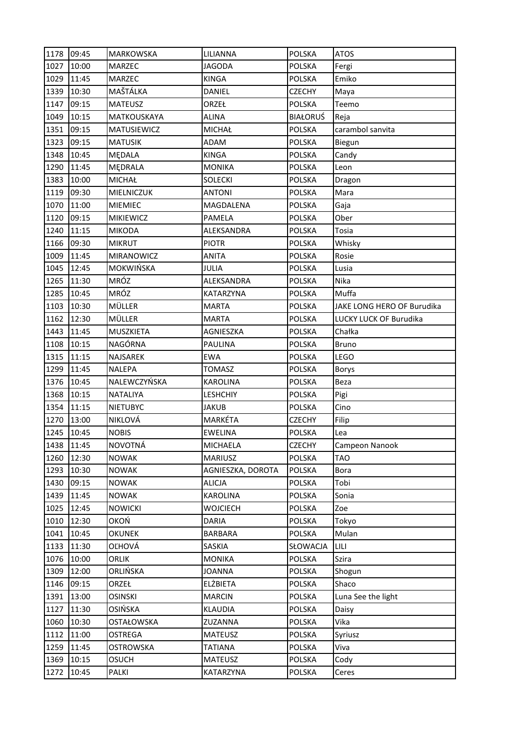| 1178 | 09:45 | <b>MARKOWSKA</b> | LILIANNA          | <b>POLSKA</b>   | <b>ATOS</b>                |
|------|-------|------------------|-------------------|-----------------|----------------------------|
| 1027 | 10:00 | MARZEC           | <b>JAGODA</b>     | <b>POLSKA</b>   | Fergi                      |
| 1029 | 11:45 | MARZEC           | <b>KINGA</b>      | <b>POLSKA</b>   | Emiko                      |
| 1339 | 10:30 | MAŠTÁLKA         | DANIEL            | <b>CZECHY</b>   | Maya                       |
| 1147 | 09:15 | <b>MATEUSZ</b>   | ORZEŁ             | <b>POLSKA</b>   | Teemo                      |
| 1049 | 10:15 | MATKOUSKAYA      | ALINA             | <b>BIAŁORUŚ</b> | Reja                       |
| 1351 | 09:15 | MATUSIEWICZ      | <b>MICHAŁ</b>     | <b>POLSKA</b>   | carambol sanvita           |
| 1323 | 09:15 | <b>MATUSIK</b>   | ADAM              | <b>POLSKA</b>   | Biegun                     |
| 1348 | 10:45 | MĘDALA           | <b>KINGA</b>      | <b>POLSKA</b>   | Candy                      |
| 1290 | 11:45 | MĘDRALA          | <b>MONIKA</b>     | <b>POLSKA</b>   | Leon                       |
| 1383 | 10:00 | <b>MICHAŁ</b>    | <b>SOLECKI</b>    | POLSKA          | Dragon                     |
| 1119 | 09:30 | MIELNICZUK       | ANTONI            | <b>POLSKA</b>   | Mara                       |
| 1070 | 11:00 | <b>MIEMIEC</b>   | MAGDALENA         | <b>POLSKA</b>   | Gaja                       |
| 1120 | 09:15 | <b>MIKIEWICZ</b> | PAMELA            | <b>POLSKA</b>   | Ober                       |
| 1240 | 11:15 | <b>MIKODA</b>    | ALEKSANDRA        | <b>POLSKA</b>   | Tosia                      |
| 1166 | 09:30 | <b>MIKRUT</b>    | <b>PIOTR</b>      | <b>POLSKA</b>   | Whisky                     |
| 1009 | 11:45 | MIRANOWICZ       | <b>ANITA</b>      | <b>POLSKA</b>   | Rosie                      |
| 1045 | 12:45 | <b>MOKWIŃSKA</b> | JULIA             | <b>POLSKA</b>   | Lusia                      |
| 1265 | 11:30 | MRÓZ             | ALEKSANDRA        | <b>POLSKA</b>   | Nika                       |
| 1285 | 10:45 | MRÓZ             | KATARZYNA         | <b>POLSKA</b>   | Muffa                      |
| 1103 | 10:30 | MÜLLER           | <b>MARTA</b>      | <b>POLSKA</b>   | JAKE LONG HERO OF Burudika |
| 1162 | 12:30 | MÜLLER           | <b>MARTA</b>      | <b>POLSKA</b>   | LUCKY LUCK OF Burudika     |
| 1443 | 11:45 | MUSZKIETA        | AGNIESZKA         | <b>POLSKA</b>   | Chałka                     |
| 1108 | 10:15 | NAGÓRNA          | <b>PAULINA</b>    | <b>POLSKA</b>   | <b>Bruno</b>               |
| 1315 | 11:15 | NAJSAREK         | <b>EWA</b>        | <b>POLSKA</b>   | LEGO                       |
| 1299 | 11:45 | <b>NALEPA</b>    | <b>TOMASZ</b>     | <b>POLSKA</b>   | <b>Borys</b>               |
| 1376 | 10:45 | NALEWCZYŃSKA     | <b>KAROLINA</b>   | <b>POLSKA</b>   | Beza                       |
| 1368 | 10:15 | <b>NATALIYA</b>  | <b>LESHCHIY</b>   | <b>POLSKA</b>   | Pigi                       |
| 1354 | 11:15 | <b>NIETUBYC</b>  | JAKUB             | <b>POLSKA</b>   | Cino                       |
| 1270 | 13:00 | NIKLOVÁ          | MARKÉTA           | <b>CZECHY</b>   | Filip                      |
| 1245 | 10:45 | <b>NOBIS</b>     | <b>EWELINA</b>    | POLSKA          | Lea                        |
| 1438 | 11:45 | <b>NOVOTNÁ</b>   | <b>MICHAELA</b>   | <b>CZECHY</b>   | Campeon Nanook             |
| 1260 | 12:30 | <b>NOWAK</b>     | <b>MARIUSZ</b>    | <b>POLSKA</b>   | <b>TAO</b>                 |
| 1293 | 10:30 | <b>NOWAK</b>     | AGNIESZKA, DOROTA | <b>POLSKA</b>   | Bora                       |
| 1430 | 09:15 | <b>NOWAK</b>     | <b>ALICJA</b>     | <b>POLSKA</b>   | Tobi                       |
| 1439 | 11:45 | <b>NOWAK</b>     | KAROLINA          | <b>POLSKA</b>   | Sonia                      |
| 1025 | 12:45 | <b>NOWICKI</b>   | WOJCIECH          | POLSKA          | Zoe                        |
| 1010 | 12:30 | OKOŃ             | <b>DARIA</b>      | <b>POLSKA</b>   | Tokyo                      |
| 1041 | 10:45 | <b>OKUNEK</b>    | <b>BARBARA</b>    | <b>POLSKA</b>   | Mulan                      |
| 1133 | 11:30 | OĽHOVÁ           | SASKIA            | SŁOWACJA        | LILI                       |
| 1076 | 10:00 | ORLIK            | <b>MONIKA</b>     | <b>POLSKA</b>   | Szira                      |
| 1309 | 12:00 | ORLIŃSKA         | <b>JOANNA</b>     | POLSKA          | Shogun                     |
| 1146 | 09:15 | ORZEŁ            | <b>ELŻBIETA</b>   | POLSKA          | Shaco                      |
| 1391 | 13:00 | <b>OSINSKI</b>   | <b>MARCIN</b>     | <b>POLSKA</b>   | Luna See the light         |
| 1127 | 11:30 | OSIŃSKA          | <b>KLAUDIA</b>    | <b>POLSKA</b>   | Daisy                      |
| 1060 | 10:30 | OSTAŁOWSKA       | ZUZANNA           | <b>POLSKA</b>   | Vika                       |
| 1112 | 11:00 | <b>OSTREGA</b>   | MATEUSZ           | <b>POLSKA</b>   | Syriusz                    |
| 1259 | 11:45 | <b>OSTROWSKA</b> | <b>TATIANA</b>    | <b>POLSKA</b>   | Viva                       |
| 1369 | 10:15 | <b>OSUCH</b>     | MATEUSZ           | POLSKA          | Cody                       |
| 1272 | 10:45 | PALKI            | KATARZYNA         | POLSKA          | Ceres                      |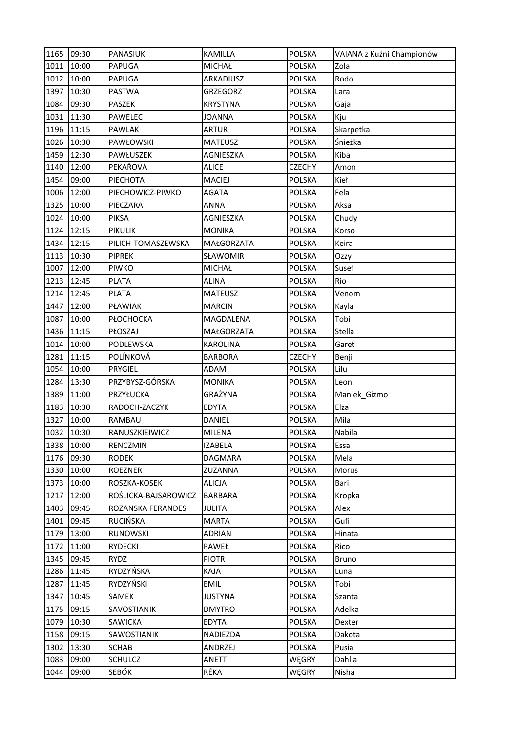| 1165 | 09:30 | <b>PANASIUK</b>      | <b>KAMILLA</b>  | <b>POLSKA</b> | VAIANA z Kuźni Championów |
|------|-------|----------------------|-----------------|---------------|---------------------------|
| 1011 | 10:00 | PAPUGA               | <b>MICHAŁ</b>   | <b>POLSKA</b> | Zola                      |
| 1012 | 10:00 | <b>PAPUGA</b>        | ARKADIUSZ       | <b>POLSKA</b> | Rodo                      |
| 1397 | 10:30 | <b>PASTWA</b>        | <b>GRZEGORZ</b> | <b>POLSKA</b> | Lara                      |
| 1084 | 09:30 | PASZEK               | <b>KRYSTYNA</b> | <b>POLSKA</b> | Gaja                      |
| 1031 | 11:30 | PAWELEC              | <b>JOANNA</b>   | <b>POLSKA</b> | Kju                       |
| 1196 | 11:15 | <b>PAWLAK</b>        | <b>ARTUR</b>    | <b>POLSKA</b> | Skarpetka                 |
| 1026 | 10:30 | PAWŁOWSKI            | <b>MATEUSZ</b>  | <b>POLSKA</b> | Śnieżka                   |
| 1459 | 12:30 | PAWŁUSZEK            | AGNIESZKA       | <b>POLSKA</b> | Kiba                      |
| 1140 | 12:00 | PEKAŘOVÁ             | <b>ALICE</b>    | <b>CZECHY</b> | Amon                      |
| 1454 | 09:00 | PIECHOTA             | <b>MACIEJ</b>   | <b>POLSKA</b> | Kieł                      |
| 1006 | 12:00 | PIECHOWICZ-PIWKO     | <b>AGATA</b>    | <b>POLSKA</b> | Fela                      |
| 1325 | 10:00 | PIECZARA             | <b>ANNA</b>     | <b>POLSKA</b> | Aksa                      |
| 1024 | 10:00 | <b>PIKSA</b>         | AGNIESZKA       | <b>POLSKA</b> | Chudy                     |
| 1124 | 12:15 | <b>PIKULIK</b>       | <b>MONIKA</b>   | <b>POLSKA</b> | Korso                     |
| 1434 | 12:15 | PILICH-TOMASZEWSKA   | MAŁGORZATA      | <b>POLSKA</b> | Keira                     |
| 1113 | 10:30 | <b>PIPREK</b>        | SŁAWOMIR        | <b>POLSKA</b> | Ozzy                      |
| 1007 | 12:00 | PIWKO                | MICHAŁ          | <b>POLSKA</b> | Suseł                     |
| 1213 | 12:45 | <b>PLATA</b>         | <b>ALINA</b>    | <b>POLSKA</b> | Rio                       |
| 1214 | 12:45 | <b>PLATA</b>         | <b>MATEUSZ</b>  | <b>POLSKA</b> | Venom                     |
| 1447 | 12:00 | PŁAWIAK              | <b>MARCIN</b>   | <b>POLSKA</b> | Kayla                     |
| 1087 | 10:00 | PŁOCHOCKA            | MAGDALENA       | <b>POLSKA</b> | Tobi                      |
| 1436 | 11:15 | PŁOSZAJ              | MAŁGORZATA      | <b>POLSKA</b> | Stella                    |
| 1014 | 10:00 | PODLEWSKA            | <b>KAROLINA</b> | <b>POLSKA</b> | Garet                     |
| 1281 | 11:15 | POLÍNKOVÁ            | <b>BARBORA</b>  | <b>CZECHY</b> | Benji                     |
| 1054 | 10:00 | PRYGIEL              | <b>ADAM</b>     | <b>POLSKA</b> | Lilu                      |
| 1284 | 13:30 | PRZYBYSZ-GÓRSKA      | <b>MONIKA</b>   | <b>POLSKA</b> | Leon                      |
| 1389 | 11:00 | PRZYŁUCKA            | GRAŻYNA         | <b>POLSKA</b> | Maniek_Gizmo              |
| 1183 | 10:30 | RADOCH-ZACZYK        | <b>EDYTA</b>    | <b>POLSKA</b> | Elza                      |
| 1327 | 10:00 | RAMBAU               | DANIEL          | POLSKA        | Mila                      |
| 1032 | 10:30 | RANUSZKIEIWICZ       | <b>MILENA</b>   | <b>POLSKA</b> | Nabila                    |
| 1338 | 10:00 | RENCZMIŃ             | <b>IZABELA</b>  | <b>POLSKA</b> | Essa                      |
| 1176 | 09:30 | <b>RODEK</b>         | DAGMARA         | <b>POLSKA</b> | Mela                      |
| 1330 | 10:00 | <b>ROEZNER</b>       | ZUZANNA         | <b>POLSKA</b> | Morus                     |
| 1373 | 10:00 | ROSZKA-KOSEK         | <b>ALICJA</b>   | <b>POLSKA</b> | Bari                      |
| 1217 | 12:00 | ROŚLICKA-BAJSAROWICZ | <b>BARBARA</b>  | <b>POLSKA</b> | Kropka                    |
| 1403 | 09:45 | ROZANSKA FERANDES    | <b>JULITA</b>   | <b>POLSKA</b> | Alex                      |
| 1401 | 09:45 | RUCIŃSKA             | <b>MARTA</b>    | <b>POLSKA</b> | Gufi                      |
| 1179 | 13:00 | <b>RUNOWSKI</b>      | ADRIAN          | <b>POLSKA</b> | Hinata                    |
| 1172 | 11:00 | <b>RYDECKI</b>       | PAWEŁ           | <b>POLSKA</b> | Rico                      |
| 1345 | 09:45 | RYDZ                 | <b>PIOTR</b>    | <b>POLSKA</b> | Bruno                     |
| 1286 | 11:45 | RYDZYŃSKA            | KAJA            | <b>POLSKA</b> | Luna                      |
| 1287 | 11:45 | RYDZYŃSKI            | EMIL            | <b>POLSKA</b> | Tobi                      |
| 1347 | 10:45 | SAMEK                | <b>JUSTYNA</b>  | <b>POLSKA</b> | Szanta                    |
| 1175 | 09:15 | SAVOSTIANIK          | <b>DMYTRO</b>   | <b>POLSKA</b> | Adelka                    |
| 1079 | 10:30 | SAWICKA              | <b>EDYTA</b>    | <b>POLSKA</b> | Dexter                    |
| 1158 | 09:15 | SAWOSTIANIK          | NADIEŻDA        | <b>POLSKA</b> | Dakota                    |
| 1302 | 13:30 | SCHAB                | ANDRZEJ         | <b>POLSKA</b> | Pusia                     |
| 1083 | 09:00 | <b>SCHULCZ</b>       | ANETT           | WĘGRY         | Dahlia                    |
| 1044 | 09:00 | SEBŐK                | RÉKA            | WĘGRY         | Nisha                     |
|      |       |                      |                 |               |                           |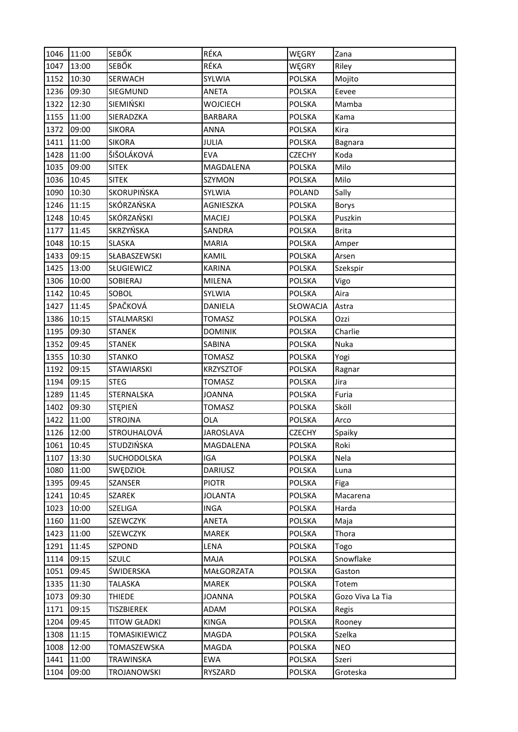| 1046 | 11:00 | <b>SEBŐK</b>        | RÉKA             | WĘGRY         | Zana             |
|------|-------|---------------------|------------------|---------------|------------------|
| 1047 | 13:00 | <b>SEBŐK</b>        | RÉKA             | WĘGRY         | Riley            |
| 1152 | 10:30 | <b>SERWACH</b>      | SYLWIA           | <b>POLSKA</b> | Mojito           |
| 1236 | 09:30 | SIEGMUND            | <b>ANETA</b>     | <b>POLSKA</b> | Eevee            |
| 1322 | 12:30 | SIEMIŃSKI           | <b>WOJCIECH</b>  | <b>POLSKA</b> | Mamba            |
| 1155 | 11:00 | SIERADZKA           | <b>BARBARA</b>   | <b>POLSKA</b> | Kama             |
| 1372 | 09:00 | <b>SIKORA</b>       | <b>ANNA</b>      | <b>POLSKA</b> | Kira             |
| 1411 | 11:00 | <b>SIKORA</b>       | JULIA            | <b>POLSKA</b> | <b>Bagnara</b>   |
| 1428 | 11:00 | ŠIŠOLÁKOVÁ          | <b>EVA</b>       | <b>CZECHY</b> | Koda             |
| 1035 | 09:00 | <b>SITEK</b>        | MAGDALENA        | <b>POLSKA</b> | Milo             |
| 1036 | 10:45 | <b>SITEK</b>        | SZYMON           | <b>POLSKA</b> | Milo             |
| 1090 | 10:30 | SKORUPIŃSKA         | SYLWIA           | <b>POLAND</b> | Sally            |
| 1246 | 11:15 | SKÓRZAŃSKA          | AGNIESZKA        | <b>POLSKA</b> | <b>Borys</b>     |
| 1248 | 10:45 | SKÓRZAŃSKI          | <b>MACIEJ</b>    | <b>POLSKA</b> | Puszkin          |
| 1177 | 11:45 | SKRZYŃSKA           | SANDRA           | <b>POLSKA</b> | <b>Brita</b>     |
| 1048 | 10:15 | <b>SLASKA</b>       | <b>MARIA</b>     | <b>POLSKA</b> | Amper            |
| 1433 | 09:15 | SŁABASZEWSKI        | KAMIL            | <b>POLSKA</b> | Arsen            |
| 1425 | 13:00 | SŁUGIEWICZ          | <b>KARINA</b>    | <b>POLSKA</b> | Szekspir         |
| 1306 | 10:00 | <b>SOBIERAJ</b>     | MILENA           | <b>POLSKA</b> | Vigo             |
| 1142 | 10:45 | SOBOL               | SYLWIA           | <b>POLSKA</b> | Aira             |
| 1427 | 11:45 | ŠPAČKOVÁ            | DANIELA          | SŁOWACJA      | Astra            |
| 1386 | 10:15 | STALMARSKI          | <b>TOMASZ</b>    | <b>POLSKA</b> | Ozzi             |
| 1195 | 09:30 | <b>STANEK</b>       | <b>DOMINIK</b>   | <b>POLSKA</b> | Charlie          |
| 1352 | 09:45 | <b>STANEK</b>       | SABINA           | <b>POLSKA</b> | Nuka             |
| 1355 | 10:30 | <b>STANKO</b>       | <b>TOMASZ</b>    | <b>POLSKA</b> | Yogi             |
| 1192 | 09:15 | <b>STAWIARSKI</b>   | <b>KRZYSZTOF</b> | POLSKA        | Ragnar           |
| 1194 | 09:15 | <b>STEG</b>         | <b>TOMASZ</b>    | <b>POLSKA</b> | Jira             |
| 1289 | 11:45 | STERNALSKA          | <b>JOANNA</b>    | <b>POLSKA</b> | Furia            |
| 1402 | 09:30 | <b>STEPIEŃ</b>      | <b>TOMASZ</b>    | <b>POLSKA</b> | Sköll            |
| 1422 | 11:00 | <b>STROJNA</b>      | OLA              | <b>POLSKA</b> | Arco             |
| 1126 | 12:00 | <b>STROUHALOVÁ</b>  | <b>JAROSLAVA</b> | <b>CZECHY</b> | Spaiky           |
| 1061 | 10:45 | STUDZIŃSKA          | MAGDALENA        | <b>POLSKA</b> | Roki             |
| 1107 | 13:30 | SUCHODOLSKA         | IGA              | <b>POLSKA</b> | Nela             |
| 1080 | 11:00 | SWĘDZIOŁ            | <b>DARIUSZ</b>   | <b>POLSKA</b> | Luna             |
| 1395 | 09:45 | SZANSER             | <b>PIOTR</b>     | <b>POLSKA</b> | Figa             |
| 1241 | 10:45 | SZAREK              | <b>JOLANTA</b>   | <b>POLSKA</b> | Macarena         |
| 1023 | 10:00 | <b>SZELIGA</b>      | <b>INGA</b>      | <b>POLSKA</b> | Harda            |
| 1160 | 11:00 | <b>SZEWCZYK</b>     | ANETA            | <b>POLSKA</b> | Maja             |
| 1423 | 11:00 | SZEWCZYK            | MAREK            | <b>POLSKA</b> | Thora            |
| 1291 | 11:45 | SZPOND              | LENA             | <b>POLSKA</b> | Togo             |
| 1114 | 09:15 | <b>SZULC</b>        | MAJA             | <b>POLSKA</b> | Snowflake        |
| 1051 | 09:45 | ŚWIDERSKA           | MAŁGORZATA       | <b>POLSKA</b> | Gaston           |
| 1335 | 11:30 | TALASKA             | MAREK            | <b>POLSKA</b> | Totem            |
| 1073 | 09:30 | <b>THIEDE</b>       | <b>JOANNA</b>    | <b>POLSKA</b> | Gozo Viva La Tia |
| 1171 | 09:15 | <b>TISZBIEREK</b>   | ADAM             | <b>POLSKA</b> | Regis            |
| 1204 | 09:45 | <b>TITOW GŁADKI</b> | KINGA            | <b>POLSKA</b> | Rooney           |
| 1308 | 11:15 | TOMASIKIEWICZ       | MAGDA            | <b>POLSKA</b> | Szelka           |
| 1008 | 12:00 | TOMASZEWSKA         | MAGDA            | <b>POLSKA</b> | <b>NEO</b>       |
| 1441 | 11:00 | <b>TRAWINSKA</b>    | <b>EWA</b>       | <b>POLSKA</b> | Szeri            |
| 1104 | 09:00 | TROJANOWSKI         | RYSZARD          | <b>POLSKA</b> | Groteska         |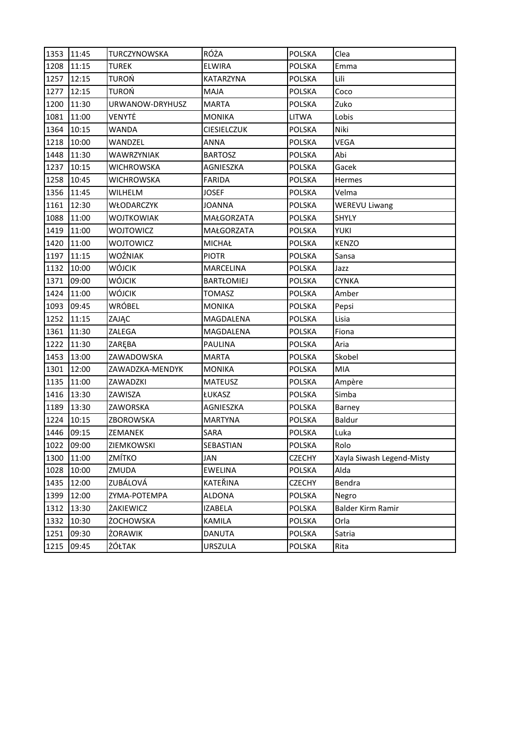| 1353 | 11:45      | TURCZYNOWSKA      | RÓŻA              | <b>POLSKA</b> | Clea                      |
|------|------------|-------------------|-------------------|---------------|---------------------------|
| 1208 | 11:15      | TUREK             | <b>ELWIRA</b>     | <b>POLSKA</b> | Emma                      |
| 1257 | 12:15      | TUROŃ             | KATARZYNA         | <b>POLSKA</b> | Lili                      |
| 1277 | 12:15      | <b>TUROŃ</b>      | MAJA              | <b>POLSKA</b> | Coco                      |
| 1200 | 11:30      | URWANOW-DRYHUSZ   | <b>MARTA</b>      | <b>POLSKA</b> | Zuko                      |
| 1081 | 11:00      | VENYTĖ            | <b>MONIKA</b>     | <b>LITWA</b>  | Lobis                     |
| 1364 | 10:15      | WANDA             | CIESIELCZUK       | <b>POLSKA</b> | Niki                      |
| 1218 | 10:00      | WANDZEL           | <b>ANNA</b>       | <b>POLSKA</b> | <b>VEGA</b>               |
| 1448 | 11:30      | <b>WAWRZYNIAK</b> | <b>BARTOSZ</b>    | <b>POLSKA</b> | Abi                       |
| 1237 | 10:15      | WICHROWSKA        | AGNIESZKA         | <b>POLSKA</b> | Gacek                     |
| 1258 | 10:45      | WICHROWSKA        | <b>FARIDA</b>     | <b>POLSKA</b> | Hermes                    |
| 1356 | 11:45      | WILHELM           | <b>JOSEF</b>      | <b>POLSKA</b> | Velma                     |
| 1161 | 12:30      | WŁODARCZYK        | <b>JOANNA</b>     | <b>POLSKA</b> | <b>WEREVU Liwang</b>      |
| 1088 | 11:00      | <b>WOJTKOWIAK</b> | MAŁGORZATA        | <b>POLSKA</b> | SHYLY                     |
| 1419 | 11:00      | WOJTOWICZ         | MAŁGORZATA        | <b>POLSKA</b> | <b>YUKI</b>               |
| 1420 | 11:00      | WOJTOWICZ         | <b>MICHAŁ</b>     | <b>POLSKA</b> | <b>KENZO</b>              |
| 1197 | 11:15      | WOŹNIAK           | <b>PIOTR</b>      | <b>POLSKA</b> | Sansa                     |
| 1132 | 10:00      | WÓJCIK            | MARCELINA         | <b>POLSKA</b> | Jazz                      |
| 1371 | 09:00      | WÓJCIK            | <b>BARTŁOMIEJ</b> | <b>POLSKA</b> | <b>CYNKA</b>              |
| 1424 | 11:00      | WÓJCIK            | <b>TOMASZ</b>     | <b>POLSKA</b> | Amber                     |
| 1093 | 09:45      | WRÓBEL            | <b>MONIKA</b>     | POLSKA        | Pepsi                     |
| 1252 | 11:15      | ZAJĄC             | MAGDALENA         | <b>POLSKA</b> | Lisia                     |
| 1361 | 11:30      | ZALEGA            | MAGDALENA         | <b>POLSKA</b> | Fiona                     |
| 1222 | 11:30      | ZARĘBA            | <b>PAULINA</b>    | <b>POLSKA</b> | Aria                      |
| 1453 | 13:00      | ZAWADOWSKA        | <b>MARTA</b>      | <b>POLSKA</b> | Skobel                    |
| 1301 | 12:00      | ZAWADZKA-MENDYK   | <b>MONIKA</b>     | <b>POLSKA</b> | <b>MIA</b>                |
| 1135 | 11:00      | ZAWADZKI          | <b>MATEUSZ</b>    | <b>POLSKA</b> | Ampère                    |
| 1416 | 13:30      | ZAWISZA           | ŁUKASZ            | <b>POLSKA</b> | Simba                     |
| 1189 | 13:30      | ZAWORSKA          | AGNIESZKA         | <b>POLSKA</b> | Barney                    |
| 1224 | 10:15      | ZBOROWSKA         | <b>MARTYNA</b>    | <b>POLSKA</b> | Baldur                    |
|      | 1446 09:15 | ZEMANEK           | SARA              | <b>POLSKA</b> | Luka                      |
| 1022 | 09:00      | ZIEMKOWSKI        | SEBASTIAN         | <b>POLSKA</b> | Rolo                      |
| 1300 | 11:00      | ZMÍTKO            | JAN               | <b>CZECHY</b> | Xayla Siwash Legend-Misty |
| 1028 | 10:00      | ZMUDA             | <b>EWELINA</b>    | <b>POLSKA</b> | Alda                      |
| 1435 | 12:00      | ZUBÁLOVÁ          | KATEŘINA          | <b>CZECHY</b> | Bendra                    |
| 1399 | 12:00      | ZYMA-POTEMPA      | <b>ALDONA</b>     | POLSKA        | Negro                     |
| 1312 | 13:30      | ŻAKIEWICZ         | <b>IZABELA</b>    | <b>POLSKA</b> | Balder Kirm Ramir         |
| 1332 | 10:30      | ŻOCHOWSKA         | KAMILA            | <b>POLSKA</b> | Orla                      |
| 1251 | 09:30      | ŻORAWIK           | <b>DANUTA</b>     | POLSKA        | Satria                    |
| 1215 | 09:45      | ŻÓŁTAK            | <b>URSZULA</b>    | <b>POLSKA</b> | Rita                      |
|      |            |                   |                   |               |                           |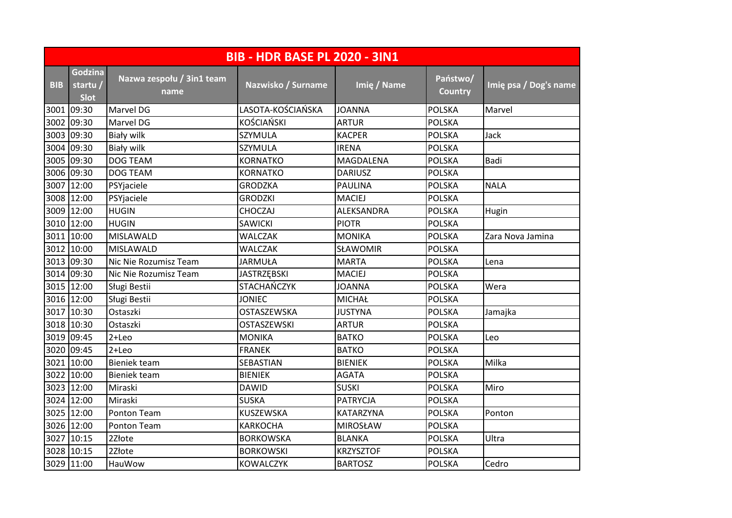|            | <b>BIB - HDR BASE PL 2020 - 3IN1</b>      |                                   |                    |                  |                            |                       |  |  |
|------------|-------------------------------------------|-----------------------------------|--------------------|------------------|----------------------------|-----------------------|--|--|
| <b>BIB</b> | <b>Godzina</b><br>startu /<br><b>Slot</b> | Nazwa zespołu / 3in1 team<br>name | Nazwisko / Surname | Imię / Name      | Państwo/<br><b>Country</b> | Imię psa / Dog's name |  |  |
|            | 3001 09:30                                | Marvel DG                         | LASOTA-KOŚCIAŃSKA  | <b>JOANNA</b>    | <b>POLSKA</b>              | Marvel                |  |  |
|            | 3002 09:30                                | Marvel DG                         | <b>KOŚCIAŃSKI</b>  | <b>ARTUR</b>     | <b>POLSKA</b>              |                       |  |  |
|            | 3003 09:30                                | <b>Biały wilk</b>                 | SZYMULA            | <b>KACPER</b>    | <b>POLSKA</b>              | Jack                  |  |  |
|            | 3004 09:30                                | <b>Biały wilk</b>                 | SZYMULA            | <b>IRENA</b>     | <b>POLSKA</b>              |                       |  |  |
|            | 3005 09:30                                | <b>DOG TEAM</b>                   | <b>KORNATKO</b>    | MAGDALENA        | <b>POLSKA</b>              | Badi                  |  |  |
|            | 3006 09:30                                | <b>DOG TEAM</b>                   | <b>KORNATKO</b>    | <b>DARIUSZ</b>   | <b>POLSKA</b>              |                       |  |  |
|            | 3007 12:00                                | PSYjaciele                        | <b>GRODZKA</b>     | <b>PAULINA</b>   | <b>POLSKA</b>              | <b>NALA</b>           |  |  |
|            | 3008 12:00                                | PSYjaciele                        | <b>GRODZKI</b>     | <b>MACIEJ</b>    | <b>POLSKA</b>              |                       |  |  |
|            | 3009 12:00                                | <b>HUGIN</b>                      | <b>CHOCZAJ</b>     | ALEKSANDRA       | <b>POLSKA</b>              | Hugin                 |  |  |
|            | 3010 12:00                                | <b>HUGIN</b>                      | <b>SAWICKI</b>     | <b>PIOTR</b>     | <b>POLSKA</b>              |                       |  |  |
|            | 3011 10:00                                | <b>MISLAWALD</b>                  | <b>WALCZAK</b>     | <b>MONIKA</b>    | <b>POLSKA</b>              | Zara Nova Jamina      |  |  |
|            | 3012 10:00                                | <b>MISLAWALD</b>                  | WALCZAK            | SŁAWOMIR         | <b>POLSKA</b>              |                       |  |  |
|            | 3013 09:30                                | Nic Nie Rozumisz Team             | <b>JARMUŁA</b>     | <b>MARTA</b>     | <b>POLSKA</b>              | Lena                  |  |  |
|            | 3014 09:30                                | Nic Nie Rozumisz Team             | <b>JASTRZĘBSKI</b> | <b>MACIEJ</b>    | <b>POLSKA</b>              |                       |  |  |
|            | 3015 12:00                                | Sługi Bestii                      | STACHAŃCZYK        | <b>JOANNA</b>    | <b>POLSKA</b>              | Wera                  |  |  |
|            | 3016 12:00                                | Sługi Bestii                      | <b>JONIEC</b>      | <b>MICHAŁ</b>    | <b>POLSKA</b>              |                       |  |  |
|            | 3017 10:30                                | Ostaszki                          | OSTASZEWSKA        | <b>JUSTYNA</b>   | <b>POLSKA</b>              | Jamajka               |  |  |
|            | 3018 10:30                                | Ostaszki                          | <b>OSTASZEWSKI</b> | <b>ARTUR</b>     | <b>POLSKA</b>              |                       |  |  |
|            | 3019 09:45                                | $2 + Leo$                         | <b>MONIKA</b>      | <b>BATKO</b>     | <b>POLSKA</b>              | Leo                   |  |  |
|            | 3020 09:45                                | $2 + Leo$                         | <b>FRANEK</b>      | <b>BATKO</b>     | <b>POLSKA</b>              |                       |  |  |
|            | 3021 10:00                                | <b>Bieniek team</b>               | SEBASTIAN          | <b>BIENIEK</b>   | <b>POLSKA</b>              | Milka                 |  |  |
|            | 3022 10:00                                | Bieniek team                      | <b>BIENIEK</b>     | <b>AGATA</b>     | <b>POLSKA</b>              |                       |  |  |
|            | 3023 12:00                                | Miraski                           | <b>DAWID</b>       | <b>SUSKI</b>     | <b>POLSKA</b>              | Miro                  |  |  |
|            | 3024 12:00                                | Miraski                           | <b>SUSKA</b>       | <b>PATRYCJA</b>  | <b>POLSKA</b>              |                       |  |  |
|            | 3025 12:00                                | Ponton Team                       | KUSZEWSKA          | <b>KATARZYNA</b> | <b>POLSKA</b>              | Ponton                |  |  |
|            | 3026 12:00                                | Ponton Team                       | <b>KARKOCHA</b>    | <b>MIROSŁAW</b>  | <b>POLSKA</b>              |                       |  |  |
|            | 3027 10:15                                | 2Złote                            | <b>BORKOWSKA</b>   | <b>BLANKA</b>    | <b>POLSKA</b>              | Ultra                 |  |  |
|            | 3028 10:15                                | 2Złote                            | <b>BORKOWSKI</b>   | <b>KRZYSZTOF</b> | <b>POLSKA</b>              |                       |  |  |
|            | 3029 11:00                                | HauWow                            | <b>KOWALCZYK</b>   | <b>BARTOSZ</b>   | <b>POLSKA</b>              | Cedro                 |  |  |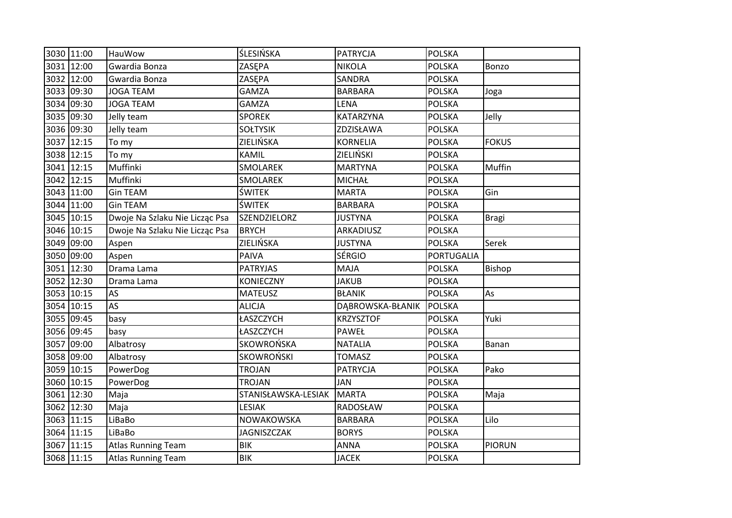|      | 3030 11:00 | <b>HauWow</b>                  | <b>ŚLESIŃSKA</b>    | <b>PATRYCJA</b>  | <b>POLSKA</b>     |               |
|------|------------|--------------------------------|---------------------|------------------|-------------------|---------------|
|      | 3031 12:00 | Gwardia Bonza                  | ZASEPA              | <b>NIKOLA</b>    | <b>POLSKA</b>     | Bonzo         |
|      | 3032 12:00 | Gwardia Bonza                  | ZASEPA              | SANDRA           | <b>POLSKA</b>     |               |
|      | 3033 09:30 | <b>JOGA TEAM</b>               | <b>GAMZA</b>        | <b>BARBARA</b>   | <b>POLSKA</b>     | Joga          |
|      | 3034 09:30 | <b>JOGA TEAM</b>               | <b>GAMZA</b>        | <b>LENA</b>      | <b>POLSKA</b>     |               |
|      | 3035 09:30 | Jelly team                     | <b>SPOREK</b>       | KATARZYNA        | <b>POLSKA</b>     | Jelly         |
|      | 3036 09:30 | Jelly team                     | <b>SOŁTYSIK</b>     | ZDZISŁAWA        | <b>POLSKA</b>     |               |
|      | 3037 12:15 | To my                          | ZIELIŃSKA           | <b>KORNELIA</b>  | <b>POLSKA</b>     | <b>FOKUS</b>  |
|      | 3038 12:15 | To my                          | KAMIL               | ZIELIŃSKI        | <b>POLSKA</b>     |               |
|      | 3041 12:15 | Muffinki                       | SMOLAREK            | <b>MARTYNA</b>   | <b>POLSKA</b>     | Muffin        |
|      | 3042 12:15 | Muffinki                       | <b>SMOLAREK</b>     | <b>MICHAŁ</b>    | <b>POLSKA</b>     |               |
|      | 3043 11:00 | <b>Gin TEAM</b>                | ŚWITEK              | <b>MARTA</b>     | <b>POLSKA</b>     | Gin           |
|      | 3044 11:00 | <b>Gin TEAM</b>                | <b>ŚWITEK</b>       | <b>BARBARA</b>   | <b>POLSKA</b>     |               |
|      | 3045 10:15 | Dwoje Na Szlaku Nie Licząc Psa | SZENDZIELORZ        | <b>JUSTYNA</b>   | <b>POLSKA</b>     | <b>Bragi</b>  |
|      | 3046 10:15 | Dwoje Na Szlaku Nie Licząc Psa | <b>BRYCH</b>        | ARKADIUSZ        | <b>POLSKA</b>     |               |
|      | 3049 09:00 | Aspen                          | ZIELIŃSKA           | <b>JUSTYNA</b>   | <b>POLSKA</b>     | Serek         |
|      | 3050 09:00 | Aspen                          | <b>PAIVA</b>        | <b>SÉRGIO</b>    | <b>PORTUGALIA</b> |               |
| 3051 | 12:30      | Drama Lama                     | <b>PATRYJAS</b>     | <b>MAJA</b>      | <b>POLSKA</b>     | Bishop        |
|      | 3052 12:30 | Drama Lama                     | <b>KONIECZNY</b>    | <b>JAKUB</b>     | <b>POLSKA</b>     |               |
|      | 3053 10:15 | AS                             | <b>MATEUSZ</b>      | <b>BŁANIK</b>    | <b>POLSKA</b>     | As            |
|      | 3054 10:15 | <b>AS</b>                      | <b>ALICJA</b>       | DĄBROWSKA-BŁANIK | <b>POLSKA</b>     |               |
|      | 3055 09:45 | basy                           | ŁASZCZYCH           | <b>KRZYSZTOF</b> | <b>POLSKA</b>     | Yuki          |
|      | 3056 09:45 | basy                           | ŁASZCZYCH           | PAWEŁ            | <b>POLSKA</b>     |               |
| 3057 | 09:00      | Albatrosy                      | SKOWROŃSKA          | <b>NATALIA</b>   | <b>POLSKA</b>     | Banan         |
|      | 3058 09:00 | Albatrosy                      | <b>SKOWROŃSKI</b>   | <b>TOMASZ</b>    | <b>POLSKA</b>     |               |
|      | 3059 10:15 | PowerDog                       | <b>TROJAN</b>       | <b>PATRYCJA</b>  | <b>POLSKA</b>     | Pako          |
|      | 3060 10:15 | PowerDog                       | <b>TROJAN</b>       | JAN              | <b>POLSKA</b>     |               |
|      | 3061 12:30 | Maja                           | STANISŁAWSKA-LESIAK | <b>MARTA</b>     | <b>POLSKA</b>     | Maja          |
|      | 3062 12:30 | Maja                           | <b>LESIAK</b>       | RADOSŁAW         | <b>POLSKA</b>     |               |
|      | 3063 11:15 | LiBaBo                         | NOWAKOWSKA          | <b>BARBARA</b>   | <b>POLSKA</b>     | Lilo          |
|      | 3064 11:15 | LiBaBo                         | <b>JAGNISZCZAK</b>  | <b>BORYS</b>     | <b>POLSKA</b>     |               |
|      | 3067 11:15 | <b>Atlas Running Team</b>      | <b>BIK</b>          | <b>ANNA</b>      | <b>POLSKA</b>     | <b>PIORUN</b> |
|      | 3068 11:15 | <b>Atlas Running Team</b>      | <b>BIK</b>          | <b>JACEK</b>     | <b>POLSKA</b>     |               |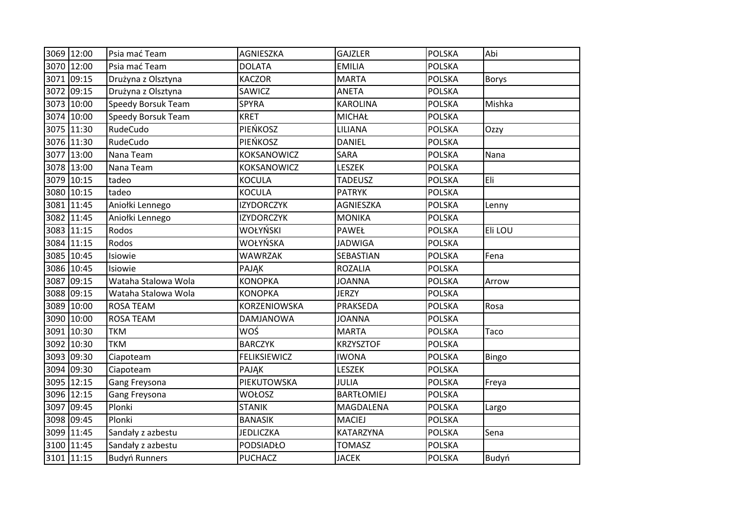|      | 3069 12:00 | Psia mać Team             | AGNIESZKA           | <b>GAJZLER</b>    | POLSKA        | Abi          |
|------|------------|---------------------------|---------------------|-------------------|---------------|--------------|
|      | 3070 12:00 | Psia mać Team             | <b>DOLATA</b>       | <b>EMILIA</b>     | <b>POLSKA</b> |              |
| 3071 | 09:15      | Drużyna z Olsztyna        | <b>KACZOR</b>       | <b>MARTA</b>      | <b>POLSKA</b> | <b>Borys</b> |
| 3072 | 09:15      | Drużyna z Olsztyna        | SAWICZ              | <b>ANETA</b>      | <b>POLSKA</b> |              |
|      | 3073 10:00 | Speedy Borsuk Team        | SPYRA               | <b>KAROLINA</b>   | <b>POLSKA</b> | Mishka       |
|      | 3074 10:00 | <b>Speedy Borsuk Team</b> | <b>KRET</b>         | <b>MICHAŁ</b>     | <b>POLSKA</b> |              |
|      | 3075 11:30 | RudeCudo                  | PIEŃKOSZ            | LILIANA           | <b>POLSKA</b> | Ozzy         |
|      | 3076 11:30 | RudeCudo                  | <b>PIEŃKOSZ</b>     | <b>DANIEL</b>     | <b>POLSKA</b> |              |
|      | 3077 13:00 | Nana Team                 | KOKSANOWICZ         | SARA              | <b>POLSKA</b> | Nana         |
|      | 3078 13:00 | Nana Team                 | <b>KOKSANOWICZ</b>  | <b>LESZEK</b>     | <b>POLSKA</b> |              |
| 3079 | 10:15      | tadeo                     | <b>KOCULA</b>       | <b>TADEUSZ</b>    | <b>POLSKA</b> | Eli          |
| 3080 | 10:15      | tadeo                     | <b>KOCULA</b>       | <b>PATRYK</b>     | <b>POLSKA</b> |              |
|      | 3081 11:45 | Aniołki Lennego           | <b>IZYDORCZYK</b>   | AGNIESZKA         | <b>POLSKA</b> | Lenny        |
|      | 3082 11:45 | Aniołki Lennego           | <b>IZYDORCZYK</b>   | <b>MONIKA</b>     | <b>POLSKA</b> |              |
| 3083 | 11:15      | Rodos                     | WOŁYŃSKI            | <b>PAWEŁ</b>      | <b>POLSKA</b> | Eli LOU      |
|      | 3084 11:15 | Rodos                     | WOŁYŃSKA            | <b>JADWIGA</b>    | <b>POLSKA</b> |              |
|      | 3085 10:45 | Isiowie                   | <b>WAWRZAK</b>      | SEBASTIAN         | <b>POLSKA</b> | Fena         |
|      | 3086 10:45 | Isiowie                   | PAJĄK               | <b>ROZALIA</b>    | <b>POLSKA</b> |              |
| 3087 | 09:15      | Wataha Stalowa Wola       | <b>KONOPKA</b>      | <b>JOANNA</b>     | <b>POLSKA</b> | Arrow        |
|      | 3088 09:15 | Wataha Stalowa Wola       | <b>KONOPKA</b>      | <b>JERZY</b>      | <b>POLSKA</b> |              |
| 3089 | 10:00      | <b>ROSA TEAM</b>          | KORZENIOWSKA        | PRAKSEDA          | <b>POLSKA</b> | Rosa         |
| 3090 | 10:00      | <b>ROSA TEAM</b>          | <b>DAMJANOWA</b>    | <b>JOANNA</b>     | <b>POLSKA</b> |              |
|      | 3091 10:30 | <b>TKM</b>                | WOŚ                 | <b>MARTA</b>      | <b>POLSKA</b> | Taco         |
|      | 3092 10:30 | <b>TKM</b>                | <b>BARCZYK</b>      | <b>KRZYSZTOF</b>  | <b>POLSKA</b> |              |
|      | 3093 09:30 | Ciapoteam                 | <b>FELIKSIEWICZ</b> | <b>IWONA</b>      | <b>POLSKA</b> | Bingo        |
| 3094 | 09:30      | Ciapoteam                 | PAJĄK               | <b>LESZEK</b>     | <b>POLSKA</b> |              |
|      | 3095 12:15 | Gang Freysona             | PIEKUTOWSKA         | JULIA             | <b>POLSKA</b> | Freya        |
|      | 3096 12:15 | Gang Freysona             | <b>WOŁOSZ</b>       | <b>BARTŁOMIEJ</b> | <b>POLSKA</b> |              |
| 3097 | 09:45      | Plonki                    | <b>STANIK</b>       | MAGDALENA         | <b>POLSKA</b> | Largo        |
| 3098 | 09:45      | Plonki                    | <b>BANASIK</b>      | <b>MACIEJ</b>     | <b>POLSKA</b> |              |
|      | 3099 11:45 | Sandały z azbestu         | <b>JEDLICZKA</b>    | KATARZYNA         | <b>POLSKA</b> | Sena         |
|      | 3100 11:45 | Sandały z azbestu         | <b>PODSIADŁO</b>    | <b>TOMASZ</b>     | <b>POLSKA</b> |              |
|      | 3101 11:15 | <b>Budyń Runners</b>      | <b>PUCHACZ</b>      | <b>JACEK</b>      | <b>POLSKA</b> | Budyń        |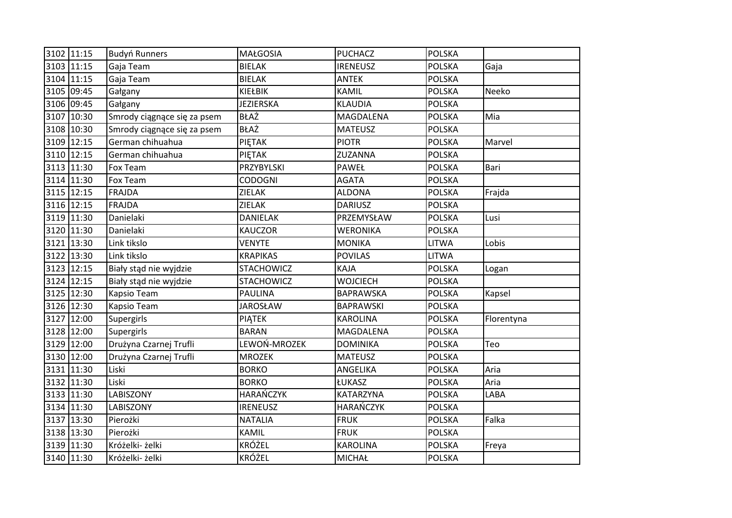|      | 3102 11:15 | <b>Budyń Runners</b>        | <b>MAŁGOSIA</b>   | <b>PUCHACZ</b>   | <b>POLSKA</b> |            |
|------|------------|-----------------------------|-------------------|------------------|---------------|------------|
|      | 3103 11:15 | Gaja Team                   | <b>BIELAK</b>     | <b>IRENEUSZ</b>  | <b>POLSKA</b> | Gaja       |
|      | 3104 11:15 | Gaja Team                   | <b>BIELAK</b>     | <b>ANTEK</b>     | <b>POLSKA</b> |            |
|      | 3105 09:45 | Gałgany                     | KIEŁBIK           | <b>KAMIL</b>     | <b>POLSKA</b> | Neeko      |
|      | 3106 09:45 | Gałgany                     | <b>JEZIERSKA</b>  | <b>KLAUDIA</b>   | <b>POLSKA</b> |            |
| 3107 | 10:30      | Smrody ciągnące się za psem | <b>BŁAŻ</b>       | MAGDALENA        | <b>POLSKA</b> | Mia        |
|      | 3108 10:30 | Smrody ciągnące się za psem | <b>BŁAŻ</b>       | <b>MATEUSZ</b>   | <b>POLSKA</b> |            |
|      | 3109 12:15 | German chihuahua            | PIETAK            | <b>PIOTR</b>     | <b>POLSKA</b> | Marvel     |
|      | 3110 12:15 | German chihuahua            | PIETAK            | ZUZANNA          | <b>POLSKA</b> |            |
|      | 3113 11:30 | Fox Team                    | PRZYBYLSKI        | PAWEŁ            | <b>POLSKA</b> | Bari       |
|      | 3114 11:30 | Fox Team                    | <b>CODOGNI</b>    | <b>AGATA</b>     | <b>POLSKA</b> |            |
|      | 3115 12:15 | FRAJDA                      | ZIELAK            | <b>ALDONA</b>    | <b>POLSKA</b> | Frajda     |
|      | 3116 12:15 | FRAJDA                      | ZIELAK            | <b>DARIUSZ</b>   | <b>POLSKA</b> |            |
|      | 3119 11:30 | Danielaki                   | <b>DANIELAK</b>   | PRZEMYSŁAW       | <b>POLSKA</b> | Lusi       |
|      | 3120 11:30 | Danielaki                   | <b>KAUCZOR</b>    | <b>WERONIKA</b>  | <b>POLSKA</b> |            |
| 3121 | 13:30      | Link tikslo                 | <b>VENYTE</b>     | <b>MONIKA</b>    | <b>LITWA</b>  | Lobis      |
|      | 3122 13:30 | Link tikslo                 | <b>KRAPIKAS</b>   | <b>POVILAS</b>   | <b>LITWA</b>  |            |
|      | 3123 12:15 | Biały stąd nie wyjdzie      | <b>STACHOWICZ</b> | KAJA             | <b>POLSKA</b> | Logan      |
| 3124 | 12:15      | Biały stąd nie wyjdzie      | <b>STACHOWICZ</b> | <b>WOJCIECH</b>  | <b>POLSKA</b> |            |
|      | 3125 12:30 | Kapsio Team                 | <b>PAULINA</b>    | <b>BAPRAWSKA</b> | <b>POLSKA</b> | Kapsel     |
|      | 3126 12:30 | Kapsio Team                 | <b>JAROSŁAW</b>   | <b>BAPRAWSKI</b> | <b>POLSKA</b> |            |
| 3127 | 12:00      | Supergirls                  | PIĄTEK            | <b>KAROLINA</b>  | <b>POLSKA</b> | Florentyna |
|      | 3128 12:00 | Supergirls                  | <b>BARAN</b>      | MAGDALENA        | <b>POLSKA</b> |            |
| 3129 | 12:00      | Drużyna Czarnej Trufli      | LEWOŃ-MROZEK      | <b>DOMINIKA</b>  | <b>POLSKA</b> | Teo        |
|      | 3130 12:00 | Drużyna Czarnej Trufli      | <b>MROZEK</b>     | <b>MATEUSZ</b>   | <b>POLSKA</b> |            |
|      | 3131 11:30 | Liski                       | <b>BORKO</b>      | ANGELIKA         | <b>POLSKA</b> | Aria       |
|      | 3132 11:30 | Liski                       | <b>BORKO</b>      | ŁUKASZ           | <b>POLSKA</b> | Aria       |
|      | 3133 11:30 | <b>LABISZONY</b>            | <b>HARAŃCZYK</b>  | KATARZYNA        | <b>POLSKA</b> | LABA       |
|      | 3134 11:30 | LABISZONY                   | <b>IRENEUSZ</b>   | <b>HARAŃCZYK</b> | <b>POLSKA</b> |            |
| 3137 | 13:30      | Pierożki                    | <b>NATALIA</b>    | <b>FRUK</b>      | <b>POLSKA</b> | Falka      |
|      | 3138 13:30 | Pierożki                    | KAMIL             | <b>FRUK</b>      | <b>POLSKA</b> |            |
|      | 3139 11:30 | Króżelki- żelki             | <b>KRÓŻEL</b>     | <b>KAROLINA</b>  | <b>POLSKA</b> | Freya      |
|      | 3140 11:30 | Króżelki- żelki             | <b>KRÓŻEL</b>     | <b>MICHAŁ</b>    | <b>POLSKA</b> |            |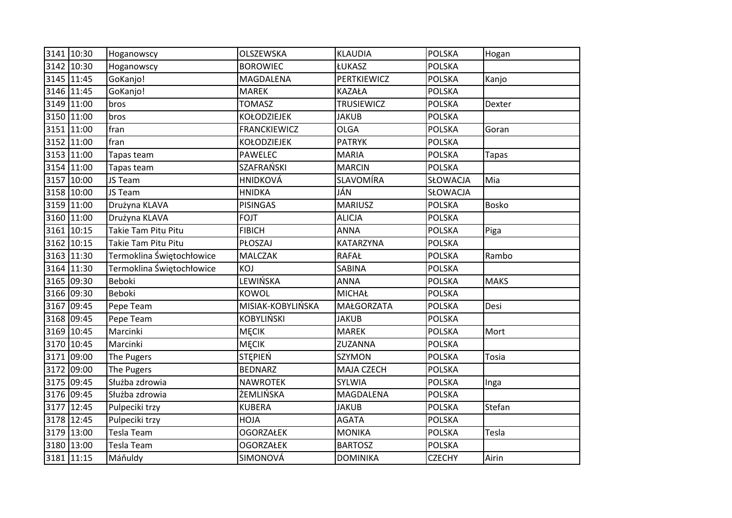| 3141 10:30 | Hoganowscy                | OLSZEWSKA           | <b>KLAUDIA</b>    | <b>POLSKA</b> | Hogan        |
|------------|---------------------------|---------------------|-------------------|---------------|--------------|
| 3142 10:30 | Hoganowscy                | <b>BOROWIEC</b>     | ŁUKASZ            | <b>POLSKA</b> |              |
| 3145 11:45 | GoKanjo!                  | MAGDALENA           | PERTKIEWICZ       | <b>POLSKA</b> | Kanjo        |
| 3146 11:45 | GoKanjo!                  | <b>MAREK</b>        | <b>KAZAŁA</b>     | <b>POLSKA</b> |              |
| 3149 11:00 | bros                      | <b>TOMASZ</b>       | <b>TRUSIEWICZ</b> | <b>POLSKA</b> | Dexter       |
| 3150 11:00 | bros                      | <b>KOŁODZIEJEK</b>  | <b>JAKUB</b>      | <b>POLSKA</b> |              |
| 3151 11:00 | fran                      | <b>FRANCKIEWICZ</b> | <b>OLGA</b>       | <b>POLSKA</b> | Goran        |
| 3152 11:00 | fran                      | <b>KOŁODZIEJEK</b>  | <b>PATRYK</b>     | <b>POLSKA</b> |              |
| 3153 11:00 | Tapas team                | <b>PAWELEC</b>      | <b>MARIA</b>      | <b>POLSKA</b> | <b>Tapas</b> |
| 3154 11:00 | Tapas team                | SZAFRAŃSKI          | <b>MARCIN</b>     | <b>POLSKA</b> |              |
| 3157 10:00 | JS Team                   | HNIDKOVÁ            | SLAVOMÍRA         | SŁOWACJA      | Mia          |
| 3158 10:00 | JS Team                   | <b>HNIDKA</b>       | JÁN               | SŁOWACJA      |              |
| 3159 11:00 | Drużyna KLAVA             | <b>PISINGAS</b>     | <b>MARIUSZ</b>    | <b>POLSKA</b> | Bosko        |
| 3160 11:00 | Drużyna KLAVA             | <b>FOJT</b>         | <b>ALICJA</b>     | <b>POLSKA</b> |              |
| 3161 10:15 | Takie Tam Pitu Pitu       | <b>FIBICH</b>       | <b>ANNA</b>       | <b>POLSKA</b> | Piga         |
| 3162 10:15 | Takie Tam Pitu Pitu       | PŁOSZAJ             | <b>KATARZYNA</b>  | <b>POLSKA</b> |              |
| 3163 11:30 | Termoklina Świętochłowice | MALCZAK             | <b>RAFAŁ</b>      | <b>POLSKA</b> | Rambo        |
| 3164 11:30 | Termoklina Świętochłowice | KOJ                 | SABINA            | <b>POLSKA</b> |              |
| 3165 09:30 | Beboki                    | LEWIŃSKA            | <b>ANNA</b>       | <b>POLSKA</b> | <b>MAKS</b>  |
| 3166 09:30 | <b>Beboki</b>             | KOWOL               | <b>MICHAŁ</b>     | <b>POLSKA</b> |              |
| 3167 09:45 | Pepe Team                 | MISIAK-KOBYLIŃSKA   | <b>MAŁGORZATA</b> | <b>POLSKA</b> | Desi         |
| 3168 09:45 | Pepe Team                 | <b>KOBYLIŃSKI</b>   | <b>JAKUB</b>      | <b>POLSKA</b> |              |
| 3169 10:45 | Marcinki                  | <b>MĘCIK</b>        | <b>MAREK</b>      | <b>POLSKA</b> | Mort         |
| 3170 10:45 | Marcinki                  | <b>MECIK</b>        | ZUZANNA           | <b>POLSKA</b> |              |
| 3171 09:00 | The Pugers                | STEPIEŃ             | SZYMON            | <b>POLSKA</b> | Tosia        |
| 3172 09:00 | The Pugers                | <b>BEDNARZ</b>      | MAJA CZECH        | <b>POLSKA</b> |              |
| 3175 09:45 | Służba zdrowia            | <b>NAWROTEK</b>     | SYLWIA            | <b>POLSKA</b> | Inga         |
| 3176 09:45 | Służba zdrowia            | ŻEMLIŃSKA           | MAGDALENA         | <b>POLSKA</b> |              |
| 3177 12:45 | Pulpeciki trzy            | <b>KUBERA</b>       | <b>JAKUB</b>      | <b>POLSKA</b> | Stefan       |
| 3178 12:45 | Pulpeciki trzy            | HOJA                | <b>AGATA</b>      | <b>POLSKA</b> |              |
| 3179 13:00 | Tesla Team                | <b>OGORZAŁEK</b>    | <b>MONIKA</b>     | <b>POLSKA</b> | Tesla        |
| 3180 13:00 | Tesla Team                | <b>OGORZAŁEK</b>    | <b>BARTOSZ</b>    | <b>POLSKA</b> |              |
| 3181 11:15 | Máňuldy                   | SIMONOVÁ            | <b>DOMINIKA</b>   | <b>CZECHY</b> | Airin        |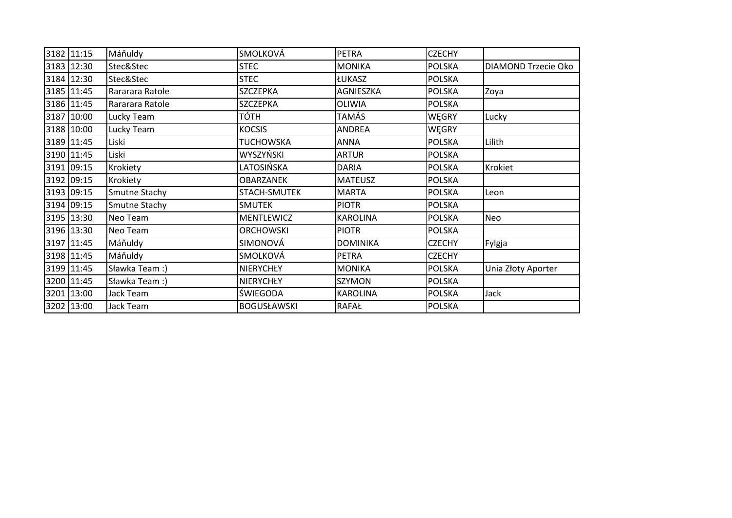|      | 3182 11:15 | Máňuldy         | <b>SMOLKOVÁ</b>    | <b>PETRA</b>    | <b>CZECHY</b> |                     |
|------|------------|-----------------|--------------------|-----------------|---------------|---------------------|
|      | 3183 12:30 | Stec&Stec       | <b>STEC</b>        | <b>MONIKA</b>   | <b>POLSKA</b> | DIAMOND Trzecie Oko |
|      | 3184 12:30 | Stec&Stec       | <b>STEC</b>        | <b>ŁUKASZ</b>   | <b>POLSKA</b> |                     |
| 3185 | 11:45      | Rararara Ratole | <b>SZCZEPKA</b>    | AGNIESZKA       | <b>POLSKA</b> | Zoya                |
|      | 3186 11:45 | Rararara Ratole | <b>SZCZEPKA</b>    | OLIWIA          | <b>POLSKA</b> |                     |
| 3187 | 10:00      | Lucky Team      | TÓTH               | TAMÁS           | WĘGRY         | Lucky               |
|      | 3188 10:00 | Lucky Team      | <b>KOCSIS</b>      | <b>ANDREA</b>   | WĘGRY         |                     |
| 3189 | 11:45      | Liski           | <b>TUCHOWSKA</b>   | <b>ANNA</b>     | <b>POLSKA</b> | Lilith              |
|      | 3190 11:45 | Liski           | WYSZYŃSKI          | <b>ARTUR</b>    | <b>POLSKA</b> |                     |
|      | 3191 09:15 | Krokiety        | LATOSIŃSKA         | <b>DARIA</b>    | <b>POLSKA</b> | Krokiet             |
|      | 3192 09:15 | Krokiety        | <b>OBARZANEK</b>   | <b>MATEUSZ</b>  | <b>POLSKA</b> |                     |
|      | 3193 09:15 | Smutne Stachy   | STACH-SMUTEK       | <b>MARTA</b>    | <b>POLSKA</b> | Leon                |
|      | 3194 09:15 | Smutne Stachy   | <b>SMUTEK</b>      | <b>PIOTR</b>    | <b>POLSKA</b> |                     |
|      | 3195 13:30 | Neo Team        | <b>MENTLEWICZ</b>  | <b>KAROLINA</b> | <b>POLSKA</b> | <b>Neo</b>          |
|      | 3196 13:30 | Neo Team        | <b>ORCHOWSKI</b>   | <b>PIOTR</b>    | <b>POLSKA</b> |                     |
|      | 3197 11:45 | Máňuldy         | SIMONOVÁ           | <b>DOMINIKA</b> | <b>CZECHY</b> | Fylgja              |
|      | 3198 11:45 | Máňuldy         | <b>SMOLKOVÁ</b>    | PETRA           | <b>CZECHY</b> |                     |
|      | 3199 11:45 | Sławka Team :)  | NIERYCHŁY          | <b>MONIKA</b>   | <b>POLSKA</b> | Unia Złoty Aporter  |
| 3200 | 11:45      | Sławka Team :)  | NIERYCHŁY          | SZYMON          | <b>POLSKA</b> |                     |
|      | 3201 13:00 | Jack Team       | ŚWIEGODA           | <b>KAROLINA</b> | <b>POLSKA</b> | Jack                |
|      | 3202 13:00 | Jack Team       | <b>BOGUSŁAWSKI</b> | <b>RAFAŁ</b>    | <b>POLSKA</b> |                     |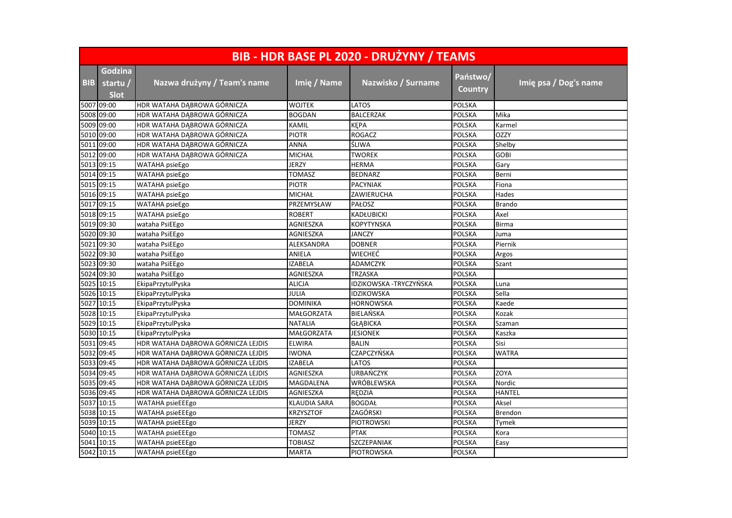|            | BIB - HDR BASE PL 2020 - DRUŻYNY / TEAMS |                                    |                     |                         |                     |                       |  |  |  |
|------------|------------------------------------------|------------------------------------|---------------------|-------------------------|---------------------|-----------------------|--|--|--|
| <b>BIB</b> | Godzina<br>startu /<br><b>Slot</b>       | Nazwa drużyny / Team's name        | <b>Imię / Name</b>  | Nazwisko / Surname      | Państwo/<br>Country | Imię psa / Dog's name |  |  |  |
|            | 5007 09:00                               | HDR WATAHA DĄBROWA GÓRNICZA        | <b>WOJTEK</b>       | LATOS                   | <b>POLSKA</b>       |                       |  |  |  |
|            | 5008 09:00                               | HDR WATAHA DABROWA GÓRNICZA        | <b>BOGDAN</b>       | <b>BALCERZAK</b>        | <b>POLSKA</b>       | Mika                  |  |  |  |
|            | 5009 09:00                               | HDR WATAHA DĄBROWA GÓRNICZA        | <b>KAMIL</b>        | KĘPA                    | <b>POLSKA</b>       | Karmel                |  |  |  |
|            | 5010 09:00                               | HDR WATAHA DABROWA GÓRNICZA        | <b>PIOTR</b>        | <b>ROGACZ</b>           | <b>POLSKA</b>       | <b>OZZY</b>           |  |  |  |
|            | 5011 09:00                               | HDR WATAHA DĄBROWA GÓRNICZA        | ANNA                | ŚLIWA                   | POLSKA              | Shelby                |  |  |  |
| 5012       | 09:00                                    | HDR WATAHA DABROWA GÓRNICZA        | <b>MICHAŁ</b>       | <b>TWOREK</b>           | <b>POLSKA</b>       | <b>GOBI</b>           |  |  |  |
|            | 5013 09:15                               | WATAHA psieEgo                     | <b>JERZY</b>        | <b>HERMA</b>            | <b>POLSKA</b>       | Gary                  |  |  |  |
|            | 5014 09:15                               | WATAHA psieEgo                     | <b>TOMASZ</b>       | <b>BEDNARZ</b>          | <b>POLSKA</b>       | Berni                 |  |  |  |
|            | 5015 09:15                               | WATAHA psieEgo                     | <b>PIOTR</b>        | <b>PACYNIAK</b>         | POLSKA              | Fiona                 |  |  |  |
|            | 5016 09:15                               | <b>WATAHA</b> psieEgo              | <b>MICHAŁ</b>       | ZAWIERUCHA              | POLSKA              | Hades                 |  |  |  |
|            | 5017 09:15                               | WATAHA psieEgo                     | PRZEMYSŁAW          | PAŁOSZ                  | <b>POLSKA</b>       | <b>Brando</b>         |  |  |  |
|            | 5018 09:15                               | WATAHA psieEgo                     | <b>ROBERT</b>       | KADŁUBICKI              | <b>POLSKA</b>       | Axel                  |  |  |  |
|            | 5019 09:30                               | wataha PsiEEgo                     | AGNIESZKA           | KOPYTYNSKA              | POLSKA              | <b>Birma</b>          |  |  |  |
|            | 5020 09:30                               | wataha PsiEEgo                     | AGNIESZKA           | JANCZY                  | POLSKA              | Juma                  |  |  |  |
|            | 5021 09:30                               | wataha PsiEEgo                     | ALEKSANDRA          | <b>DOBNER</b>           | <b>POLSKA</b>       | Piernik               |  |  |  |
|            | 5022 09:30                               | wataha PsiEEgo                     | ANIELA              | <b>WIECHEĆ</b>          | <b>POLSKA</b>       | Argos                 |  |  |  |
|            | 5023 09:30                               | wataha PsiEEgo                     | <b>IZABELA</b>      | ADAMCZYK                | <b>POLSKA</b>       | Szant                 |  |  |  |
|            | 5024 09:30                               | wataha PsiEEgo                     | AGNIESZKA           | TRZASKA                 | POLSKA              |                       |  |  |  |
|            | 5025 10:15                               | EkipaPrzytulPyska                  | ALICJA              | IDZIKOWSKA - TRYCZYŃSKA | <b>POLSKA</b>       | Luna                  |  |  |  |
|            | 5026 10:15                               | EkipaPrzytulPyska                  | JULIA               | IDZIKOWSKA              | <b>POLSKA</b>       | Sella                 |  |  |  |
| 5027       | 10:15                                    | EkipaPrzytulPyska                  | <b>DOMINIKA</b>     | <b>HORNOWSKA</b>        | <b>POLSKA</b>       | Kaede                 |  |  |  |
|            | 5028 10:15                               | EkipaPrzytulPyska                  | MAŁGORZATA          | BIELAŃSKA               | <b>POLSKA</b>       | Kozak                 |  |  |  |
|            | 5029 10:15                               | EkipaPrzytulPyska                  | <b>NATALIA</b>      | <b>GŁABICKA</b>         | <b>POLSKA</b>       | Szaman                |  |  |  |
|            | 5030 10:15                               | EkipaPrzytulPyska                  | MAŁGORZATA          | <b>JESIONEK</b>         | <b>POLSKA</b>       | Kaszka                |  |  |  |
|            | 5031 09:45                               | HDR WATAHA DĄBROWA GÓRNICZA LEJDIS | <b>ELWIRA</b>       | <b>BALIN</b>            | <b>POLSKA</b>       | Sisi                  |  |  |  |
|            | 5032 09:45                               | HDR WATAHA DĄBROWA GÓRNICZA LEJDIS | <b>IWONA</b>        | CZAPCZYŃSKA             | <b>POLSKA</b>       | <b>WATRA</b>          |  |  |  |
|            | 5033 09:45                               | HDR WATAHA DĄBROWA GÓRNICZA LEJDIS | <b>IZABELA</b>      | LATOS                   | <b>POLSKA</b>       |                       |  |  |  |
|            | 5034 09:45                               | HDR WATAHA DĄBROWA GÓRNICZA LEJDIS | AGNIESZKA           | URBAŃCZYK               | <b>POLSKA</b>       | ZOYA                  |  |  |  |
|            | 5035 09:45                               | HDR WATAHA DABROWA GÓRNICZA LEJDIS | MAGDALENA           | WRÓBLEWSKA              | POLSKA              | Nordic                |  |  |  |
|            | 5036 09:45                               | HDR WATAHA DĄBROWA GÓRNICZA LEJDIS | AGNIESZKA           | RĘDZIA                  | <b>POLSKA</b>       | <b>HANTEL</b>         |  |  |  |
|            | 5037 10:15                               | WATAHA psieEEEgo                   | <b>KLAUDIA SARA</b> | <b>BOGDAŁ</b>           | <b>POLSKA</b>       | Aksel                 |  |  |  |
|            | 5038 10:15                               | WATAHA psieEEEgo                   | <b>KRZYSZTOF</b>    | ZAGÓRSKI                | <b>POLSKA</b>       | Brendon               |  |  |  |
|            | 5039 10:15                               | WATAHA psieEEEgo                   | <b>JERZY</b>        | <b>PIOTROWSKI</b>       | <b>POLSKA</b>       | Tymek                 |  |  |  |
|            | 5040 10:15                               | <b>WATAHA psieEEEgo</b>            | <b>TOMASZ</b>       | <b>PTAK</b>             | <b>POLSKA</b>       | Kora                  |  |  |  |
|            | 5041 10:15                               | WATAHA psieEEEgo                   | TOBIASZ             | SZCZEPANIAK             | POLSKA              | Easy                  |  |  |  |
|            | 5042 10:15                               | WATAHA psieEEEgo                   | <b>MARTA</b>        | <b>PIOTROWSKA</b>       | <b>POLSKA</b>       |                       |  |  |  |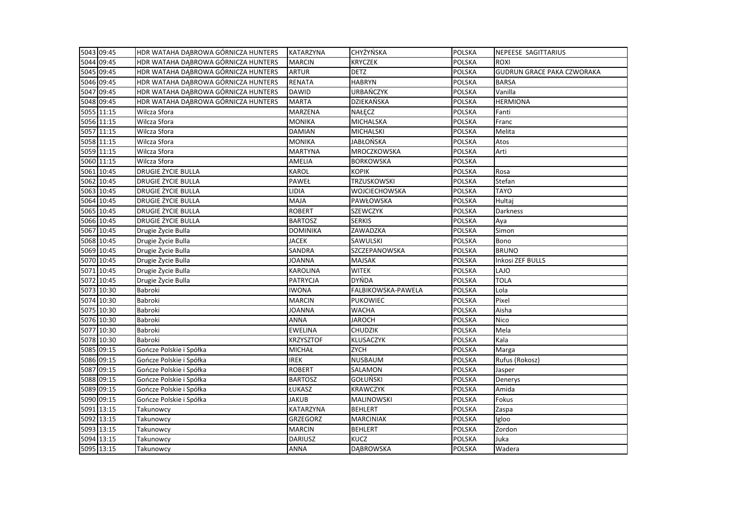| 5043 09:45 | HDR WATAHA DĄBROWA GÓRNICZA HUNTERS | <b>KATARZYNA</b> | <b>CHYŻYŃSKA</b>   | <b>POLSKA</b> | NEPEESE SAGITTARIUS               |
|------------|-------------------------------------|------------------|--------------------|---------------|-----------------------------------|
| 5044 09:45 | HDR WATAHA DĄBROWA GÓRNICZA HUNTERS | <b>MARCIN</b>    | <b>KRYCZEK</b>     | <b>POLSKA</b> | <b>ROXI</b>                       |
| 5045 09:45 | HDR WATAHA DĄBROWA GÓRNICZA HUNTERS | <b>ARTUR</b>     | <b>DETZ</b>        | <b>POLSKA</b> | <b>GUDRUN GRACE PAKA CZWORAKA</b> |
| 5046 09:45 | HDR WATAHA DĄBROWA GÓRNICZA HUNTERS | <b>RENATA</b>    | <b>HABRYN</b>      | <b>POLSKA</b> | <b>BARSA</b>                      |
| 5047 09:45 | HDR WATAHA DABROWA GÓRNICZA HUNTERS | <b>DAWID</b>     | <b>URBAŃCZYK</b>   | <b>POLSKA</b> | Vanilla                           |
| 5048 09:45 | HDR WATAHA DĄBROWA GÓRNICZA HUNTERS | <b>MARTA</b>     | DZIEKAŃSKA         | <b>POLSKA</b> | <b>HERMIONA</b>                   |
| 5055 11:15 | Wilcza Sfora                        | MARZENA          | NAŁĘCZ             | <b>POLSKA</b> | Fanti                             |
| 5056 11:15 | Wilcza Sfora                        | <b>MONIKA</b>    | <b>MICHALSKA</b>   | <b>POLSKA</b> | Franc                             |
| 5057 11:15 | Wilcza Sfora                        | <b>DAMIAN</b>    | <b>MICHALSKI</b>   | <b>POLSKA</b> | Melita                            |
| 5058 11:15 | Wilcza Sfora                        | <b>MONIKA</b>    | JABŁOŃSKA          | POLSKA        | Atos                              |
| 5059 11:15 | Wilcza Sfora                        | MARTYNA          | MROCZKOWSKA        | <b>POLSKA</b> | Arti                              |
| 5060 11:15 | Wilcza Sfora                        | AMELIA           | <b>BORKOWSKA</b>   | POLSKA        |                                   |
| 5061 10:45 | <b>DRUGIE ŻYCIE BULLA</b>           | KAROL            | <b>KOPIK</b>       | <b>POLSKA</b> | Rosa                              |
| 5062 10:45 | DRUGIE ŻYCIE BULLA                  | <b>PAWEŁ</b>     | <b>TRZUSKOWSKI</b> | <b>POLSKA</b> | Stefan                            |
| 5063 10:45 | DRUGIE ŻYCIE BULLA                  | LIDIA            | WOJCIECHOWSKA      | POLSKA        | <b>TAYO</b>                       |
| 5064 10:45 | DRUGIE ŻYCIE BULLA                  | MAJA             | PAWŁOWSKA          | <b>POLSKA</b> | Hultaj                            |
| 5065 10:45 | DRUGIE ŻYCIE BULLA                  | <b>ROBERT</b>    | <b>SZEWCZYK</b>    | <b>POLSKA</b> | Darkness                          |
| 5066 10:45 | DRUGIE ŻYCIE BULLA                  | <b>BARTOSZ</b>   | <b>SERKIS</b>      | <b>POLSKA</b> | Aya                               |
| 5067 10:45 | Drugie Życie Bulla                  | <b>DOMINIKA</b>  | ZAWADZKA           | <b>POLSKA</b> | Simon                             |
| 5068 10:45 | Drugie Życie Bulla                  | <b>JACEK</b>     | SAWULSKI           | <b>POLSKA</b> | Bono                              |
| 5069 10:45 | Drugie Życie Bulla                  | SANDRA           | SZCZEPANOWSKA      | POLSKA        | <b>BRUNO</b>                      |
| 5070 10:45 | Drugie Życie Bulla                  | JOANNA           | <b>MAJSAK</b>      | POLSKA        | Inkosi ZEF BULLS                  |
| 5071 10:45 | Drugie Życie Bulla                  | KAROLINA         | <b>WITEK</b>       | <b>POLSKA</b> | LAJO                              |
| 5072 10:45 | Drugie Życie Bulla                  | PATRYCJA         | <b>DYŃDA</b>       | <b>POLSKA</b> | <b>TOLA</b>                       |
| 5073 10:30 | Babroki                             | <b>IWONA</b>     | FALBIKOWSKA-PAWELA | <b>POLSKA</b> | Lola                              |
| 5074 10:30 | Babroki                             | <b>MARCIN</b>    | <b>PUKOWIEC</b>    | <b>POLSKA</b> | Pixel                             |
| 5075 10:30 | Babroki                             | JOANNA           | <b>WACHA</b>       | <b>POLSKA</b> | Aisha                             |
| 5076 10:30 | Babroki                             | ANNA             | JAROCH             | <b>POLSKA</b> | Nico                              |
| 5077 10:30 | Babroki                             | EWELINA          | <b>CHUDZIK</b>     | <b>POLSKA</b> | Mela                              |
| 5078 10:30 | Babroki                             | <b>KRZYSZTOF</b> | <b>KLUSACZYK</b>   | <b>POLSKA</b> | Kala                              |
| 5085 09:15 | Gończe Polskie i Spółka             | <b>MICHAŁ</b>    | <b>ZYCH</b>        | POLSKA        | Marga                             |
| 5086 09:15 | Gończe Polskie i Spółka             | <b>IREK</b>      | <b>NUSBAUM</b>     | <b>POLSKA</b> | Rufus (Rokosz)                    |
| 5087 09:15 | Gończe Polskie i Spółka             | <b>ROBERT</b>    | SALAMON            | <b>POLSKA</b> | Jasper                            |
| 5088 09:15 | Gończe Polskie i Spółka             | <b>BARTOSZ</b>   | GOŁUŃSKI           | <b>POLSKA</b> | Denerys                           |
| 5089 09:15 | Gończe Polskie i Spółka             | ŁUKASZ           | <b>KRAWCZYK</b>    | POLSKA        | Amida                             |
| 5090 09:15 | Gończe Polskie i Spółka             | <b>JAKUB</b>     | MALINOWSKI         | <b>POLSKA</b> | Fokus                             |
| 5091 13:15 | Takunowcy                           | KATARZYNA        | <b>BEHLERT</b>     | <b>POLSKA</b> | Zaspa                             |
| 5092 13:15 | Takunowcy                           | GRZEGORZ         | <b>MARCINIAK</b>   | POLSKA        | Igloo                             |
| 5093 13:15 | Takunowcy                           | MARCIN           | <b>BEHLERT</b>     | <b>POLSKA</b> | Zordon                            |
| 5094 13:15 | Takunowcy                           | DARIUSZ          | <b>KUCZ</b>        | POLSKA        | Juka                              |
| 5095 13:15 | Takunowcy                           | <b>ANNA</b>      | <b>DABROWSKA</b>   | <b>POLSKA</b> | Wadera                            |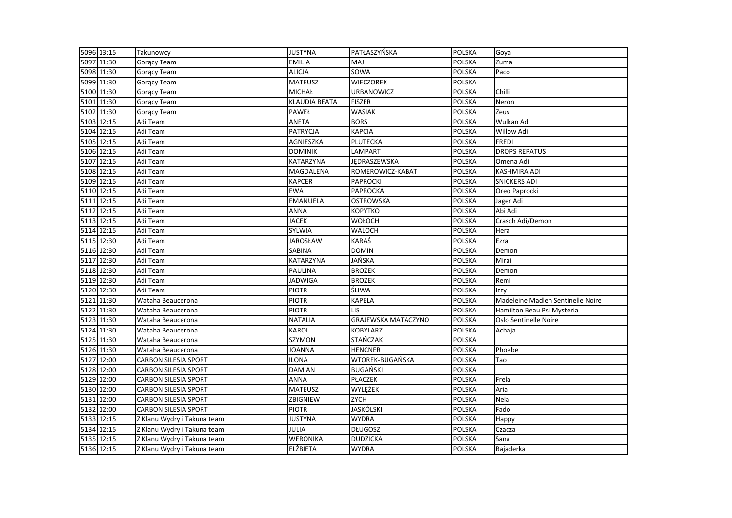| 5096 13:15 | Takunowcy                   | <b>JUSTYNA</b>  | PATŁASZYŃSKA               | POLSKA        | Goya                              |
|------------|-----------------------------|-----------------|----------------------------|---------------|-----------------------------------|
| 5097 11:30 | Gorący Team                 | <b>EMILIA</b>   | MAJ                        | <b>POLSKA</b> | Zuma                              |
| 5098 11:30 | <b>Gorący Team</b>          | <b>ALICJA</b>   | SOWA                       | <b>POLSKA</b> | Paco                              |
| 5099 11:30 | Gorący Team                 | <b>MATEUSZ</b>  | <b>WIECZOREK</b>           | <b>POLSKA</b> |                                   |
| 5100 11:30 | Gorący Team                 | <b>MICHAŁ</b>   | URBANOWICZ                 | POLSKA        | Chilli                            |
| 5101 11:30 | Gorący Team                 | KLAUDIA BEATA   | <b>FISZER</b>              | <b>POLSKA</b> | Neron                             |
| 5102 11:30 | Goracy Team                 | PAWEŁ           | <b>WASIAK</b>              | <b>POLSKA</b> | Zeus                              |
| 5103 12:15 | Adi Team                    | <b>ANETA</b>    | <b>BORS</b>                | <b>POLSKA</b> | Wulkan Adi                        |
| 5104 12:15 | Adi Team                    | <b>PATRYCJA</b> | <b>KAPCIA</b>              | <b>POLSKA</b> | <b>Willow Adi</b>                 |
| 5105 12:15 | Adi Team                    | AGNIESZKA       | PLUTECKA                   | POLSKA        | <b>FREDI</b>                      |
| 5106 12:15 | Adi Team                    | <b>DOMINIK</b>  | LAMPART                    | <b>POLSKA</b> | <b>DROPS REPATUS</b>              |
| 5107 12:15 | Adi Team                    | KATARZYNA       | JEDRASZEWSKA               | <b>POLSKA</b> | Omena Adi                         |
| 5108 12:15 | Adi Team                    | MAGDALENA       | ROMEROWICZ-KABAT           | <b>POLSKA</b> | <b>KASHMIRA ADI</b>               |
| 5109 12:15 | Adi Team                    | <b>KAPCER</b>   | <b>PAPROCKI</b>            | <b>POLSKA</b> | <b>SNICKERS ADI</b>               |
| 5110 12:15 | Adi Team                    | <b>EWA</b>      | <b>PAPROCKA</b>            | <b>POLSKA</b> | Oreo Paprocki                     |
| 5111 12:15 | Adi Team                    | <b>EMANUELA</b> | <b>OSTROWSKA</b>           | <b>POLSKA</b> | Jager Adi                         |
| 5112 12:15 | Adi Team                    | <b>ANNA</b>     | <b>KOPYTKO</b>             | <b>POLSKA</b> | Abi Adi                           |
| 5113 12:15 | Adi Team                    | <b>JACEK</b>    | <b>WOŁOCH</b>              | <b>POLSKA</b> | Crasch Adi/Demon                  |
| 5114 12:15 | Adi Team                    | <b>SYLWIA</b>   | <b>WALOCH</b>              | <b>POLSKA</b> | Hera                              |
| 5115 12:30 | Adi Team                    | <b>JAROSŁAW</b> | KARAŚ                      | <b>POLSKA</b> | Ezra                              |
| 5116 12:30 | Adi Team                    | SABINA          | <b>DOMIN</b>               | <b>POLSKA</b> | Demon                             |
| 5117 12:30 | Adi Team                    | KATARZYNA       | JAŃSKA                     | <b>POLSKA</b> | Mirai                             |
| 5118 12:30 | Adi Team                    | <b>PAULINA</b>  | <b>BROŻEK</b>              | <b>POLSKA</b> | Demon                             |
| 5119 12:30 | Adi Team                    | <b>JADWIGA</b>  | <b>BROŻEK</b>              | <b>POLSKA</b> | Remi                              |
| 5120 12:30 | Adi Team                    | <b>PIOTR</b>    | ŚLIWA                      | <b>POLSKA</b> | Izzy                              |
| 5121 11:30 | Wataha Beaucerona           | <b>PIOTR</b>    | <b>KAPELA</b>              | <b>POLSKA</b> | Madeleine Madlen Sentinelle Noire |
| 5122 11:30 | Wataha Beaucerona           | <b>PIOTR</b>    | LIS                        | <b>POLSKA</b> | Hamilton Beau Psi Mysteria        |
| 5123 11:30 | Wataha Beaucerona           | <b>NATALIA</b>  | <b>GRAJEWSKA MATACZYNO</b> | <b>POLSKA</b> | Oslo Sentinelle Noire             |
| 5124 11:30 | Wataha Beaucerona           | <b>KAROL</b>    | <b>KOBYLARZ</b>            | <b>POLSKA</b> | Achaja                            |
| 5125 11:30 | Wataha Beaucerona           | SZYMON          | <b>STAŃCZAK</b>            | <b>POLSKA</b> |                                   |
| 5126 11:30 | Wataha Beaucerona           | <b>JOANNA</b>   | <b>HENCNER</b>             | <b>POLSKA</b> | Phoebe                            |
| 5127 12:00 | <b>CARBON SILESIA SPORT</b> | <b>ILONA</b>    | WTOREK-BUGAŃSKA            | <b>POLSKA</b> | Tao                               |
| 5128 12:00 | <b>CARBON SILESIA SPORT</b> | <b>DAMIAN</b>   | <b>BUGAŃSKI</b>            | <b>POLSKA</b> |                                   |
| 5129 12:00 | <b>CARBON SILESIA SPORT</b> | <b>ANNA</b>     | <b>PŁACZEK</b>             | <b>POLSKA</b> | Frela                             |
| 5130 12:00 | <b>CARBON SILESIA SPORT</b> | <b>MATEUSZ</b>  | WYLĘŻEK                    | <b>POLSKA</b> | Aria                              |
| 5131 12:00 | <b>CARBON SILESIA SPORT</b> | ZBIGNIEW        | <b>ZYCH</b>                | <b>POLSKA</b> | Nela                              |
| 5132 12:00 | <b>CARBON SILESIA SPORT</b> | <b>PIOTR</b>    | <b>JASKÓLSKI</b>           | <b>POLSKA</b> | Fado                              |
| 5133 12:15 | Z Klanu Wydry i Takuna team | <b>JUSTYNA</b>  | <b>WYDRA</b>               | <b>POLSKA</b> | Happy                             |
| 5134 12:15 | Z Klanu Wydry i Takuna team | JULIA           | <b>DŁUGOSZ</b>             | <b>POLSKA</b> | Czacza                            |
| 5135 12:15 | Z Klanu Wydry i Takuna team | WERONIKA        | <b>DUDZICKA</b>            | POLSKA        | Sana                              |
| 5136 12:15 | Z Klanu Wydry i Takuna team | <b>ELŻBIETA</b> | <b>WYDRA</b>               | <b>POLSKA</b> | Bajaderka                         |